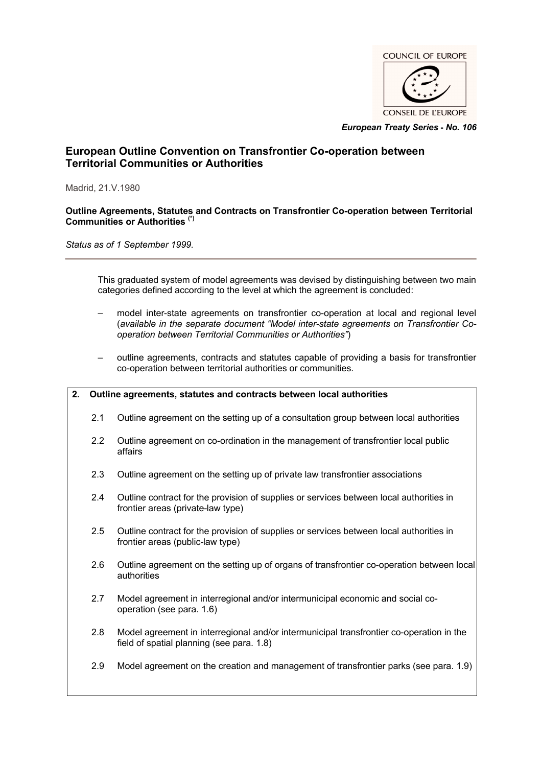

*European Treaty Series* **-** *No. 106*

# **European Outline Convention on Transfrontier Co-operation between Territorial Communities or Authorities**

Madrid, 21.V.1980

#### **Outline Agreements, Statutes and Contracts on Transfrontier Co-operation between Territorial Communities or Authorities (\*)**

*Status as of 1 September 1999.*

This graduated system of model agreements was devised by distinguishing between two main categories defined according to the level at which the agreement is concluded:

- model inter-state agreements on transfrontier co-operation at local and regional level (*available in the separate document "Model inter-state agreements on Transfrontier Cooperation between Territorial Communities or Authorities"*)
- outline agreements, contracts and statutes capable of providing a basis for transfrontier co-operation between territorial authorities or communities.

# **2. Outline agreements, statutes and contracts between local authorities**

- 2.1 Outline agreement on the setting up of a consultation group between local authorities
- 2.2 Outline agreement on co-ordination in the management of transfrontier local public affairs
- 2.3 Outline agreement on the setting up of private law transfrontier associations
- 2.4 Outline contract for the provision of supplies or services between local authorities in frontier areas (private-law type)
- 2.5 Outline contract for the provision of supplies or services between local authorities in frontier areas (public-law type)
- 2.6 Outline agreement on the setting up of organs of transfrontier co-operation between local authorities
- 2.7 Model agreement in interregional and/or intermunicipal economic and social cooperation (see para. 1.6)
- 2.8 Model agreement in interregional and/or intermunicipal transfrontier co-operation in the field of spatial planning (see para. 1.8)
- 2.9 Model agreement on the creation and management of transfrontier parks (see para. 1.9)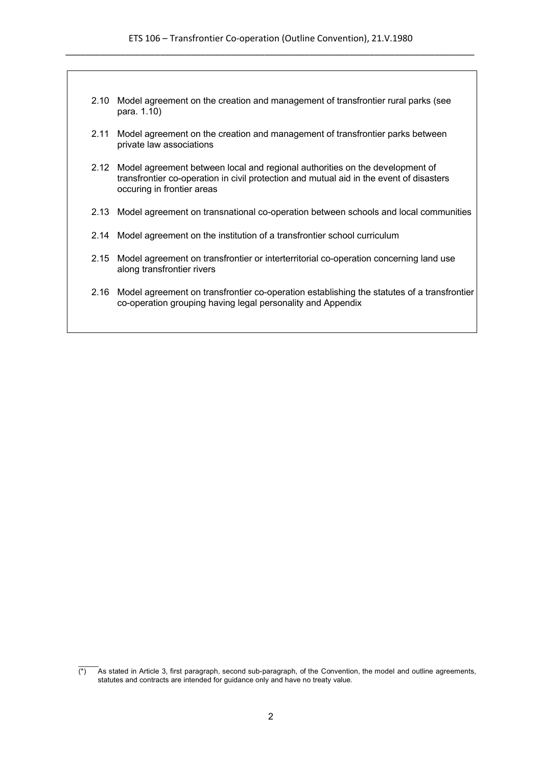- 2.10 Model agreement on the creation and management of transfrontier rural parks (see para. 1.10)
- 2.11 Model agreement on the creation and management of transfrontier parks between private law associations
- 2.12 Model agreement between local and regional authorities on the development of transfrontier co-operation in civil protection and mutual aid in the event of disasters occuring in frontier areas
- 2.13 Model agreement on transnational co-operation between schools and local communities
- 2.14 Model agreement on the institution of a transfrontier school curriculum
- 2.15 Model agreement on transfrontier or interterritorial co-operation concerning land use along transfrontier rivers
- 2.16 Model agreement on transfrontier co-operation establishing the statutes of a transfrontier co-operation grouping having legal personality and Appendix

 $\mathcal{L}$  $\overline{(*)}$  As stated in Article 3, first paragraph, second sub-paragraph, of the Convention, the model and outline agreements, statutes and contracts are intended for guidance only and have no treaty value.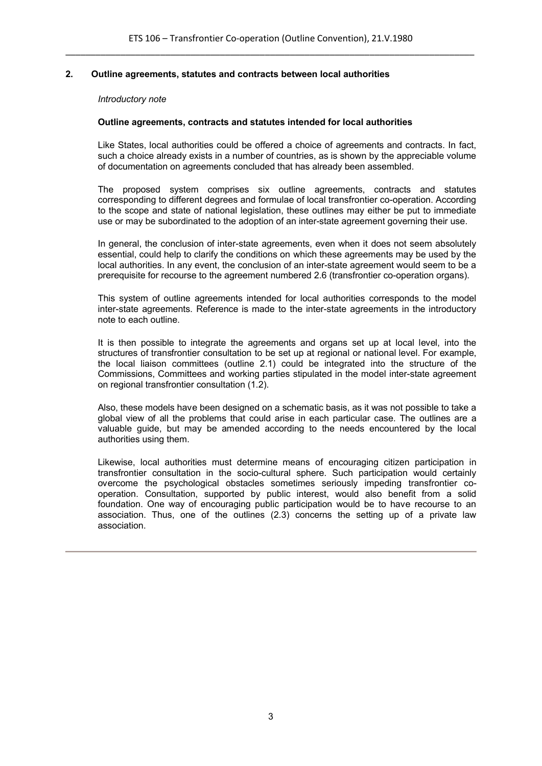# **2. Outline agreements, statutes and contracts between local authorities**

#### *Introductory note*

#### **Outline agreements, contracts and statutes intended for local authorities**

Like States, local authorities could be offered a choice of agreements and contracts. In fact, such a choice already exists in a number of countries, as is shown by the appreciable volume of documentation on agreements concluded that has already been assembled.

The proposed system comprises six outline agreements, contracts and statutes corresponding to different degrees and formulae of local transfrontier co-operation. According to the scope and state of national legislation, these outlines may either be put to immediate use or may be subordinated to the adoption of an inter-state agreement governing their use.

In general, the conclusion of inter-state agreements, even when it does not seem absolutely essential, could help to clarify the conditions on which these agreements may be used by the local authorities. In any event, the conclusion of an inter-state agreement would seem to be a prerequisite for recourse to the agreement numbered 2.6 (transfrontier co-operation organs).

This system of outline agreements intended for local authorities corresponds to the model inter-state agreements. Reference is made to the inter-state agreements in the introductory note to each outline.

It is then possible to integrate the agreements and organs set up at local level, into the structures of transfrontier consultation to be set up at regional or national level. For example, the local liaison committees (outline 2.1) could be integrated into the structure of the Commissions, Committees and working parties stipulated in the model inter-state agreement on regional transfrontier consultation (1.2).

Also, these models have been designed on a schematic basis, as it was not possible to take a global view of all the problems that could arise in each particular case. The outlines are a valuable guide, but may be amended according to the needs encountered by the local authorities using them.

Likewise, local authorities must determine means of encouraging citizen participation in transfrontier consultation in the socio-cultural sphere. Such participation would certainly overcome the psychological obstacles sometimes seriously impeding transfrontier cooperation. Consultation, supported by public interest, would also benefit from a solid foundation. One way of encouraging public participation would be to have recourse to an association. Thus, one of the outlines (2.3) concerns the setting up of a private law association.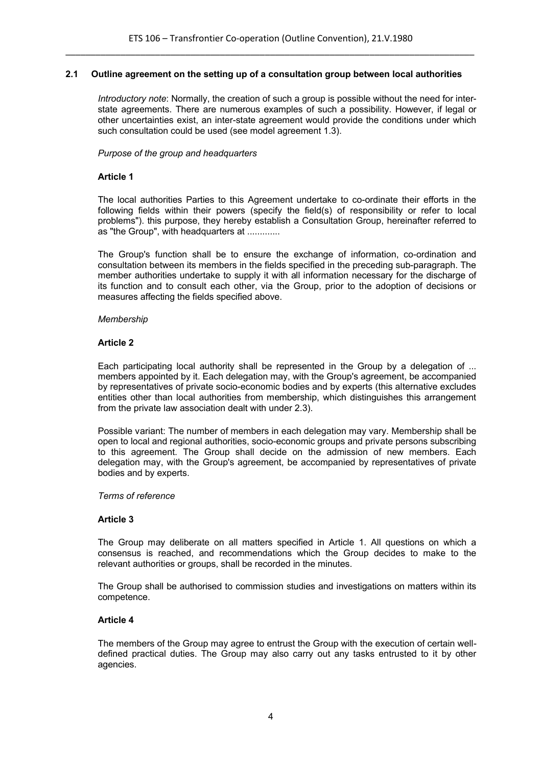# **2.1 Outline agreement on the setting up of a consultation group between local authorities**

*Introductory note*: Normally, the creation of such a group is possible without the need for interstate agreements. There are numerous examples of such a possibility. However, if legal or other uncertainties exist, an inter-state agreement would provide the conditions under which such consultation could be used (see model agreement 1.3).

#### *Purpose of the group and headquarters*

# **Article 1**

The local authorities Parties to this Agreement undertake to co-ordinate their efforts in the following fields within their powers (specify the field(s) of responsibility or refer to local problems"). this purpose, they hereby establish a Consultation Group, hereinafter referred to as "the Group", with headquarters at .............

The Group's function shall be to ensure the exchange of information, co-ordination and consultation between its members in the fields specified in the preceding sub-paragraph. The member authorities undertake to supply it with all information necessary for the discharge of its function and to consult each other, via the Group, prior to the adoption of decisions or measures affecting the fields specified above.

#### *Membership*

#### **Article 2**

Each participating local authority shall be represented in the Group by a delegation of ... members appointed by it. Each delegation may, with the Group's agreement, be accompanied by representatives of private socio-economic bodies and by experts (this alternative excludes entities other than local authorities from membership, which distinguishes this arrangement from the private law association dealt with under 2.3).

Possible variant: The number of members in each delegation may vary. Membership shall be open to local and regional authorities, socio-economic groups and private persons subscribing to this agreement. The Group shall decide on the admission of new members. Each delegation may, with the Group's agreement, be accompanied by representatives of private bodies and by experts.

#### *Terms of reference*

#### **Article 3**

The Group may deliberate on all matters specified in Article 1. All questions on which a consensus is reached, and recommendations which the Group decides to make to the relevant authorities or groups, shall be recorded in the minutes.

The Group shall be authorised to commission studies and investigations on matters within its competence.

#### **Article 4**

The members of the Group may agree to entrust the Group with the execution of certain welldefined practical duties. The Group may also carry out any tasks entrusted to it by other agencies.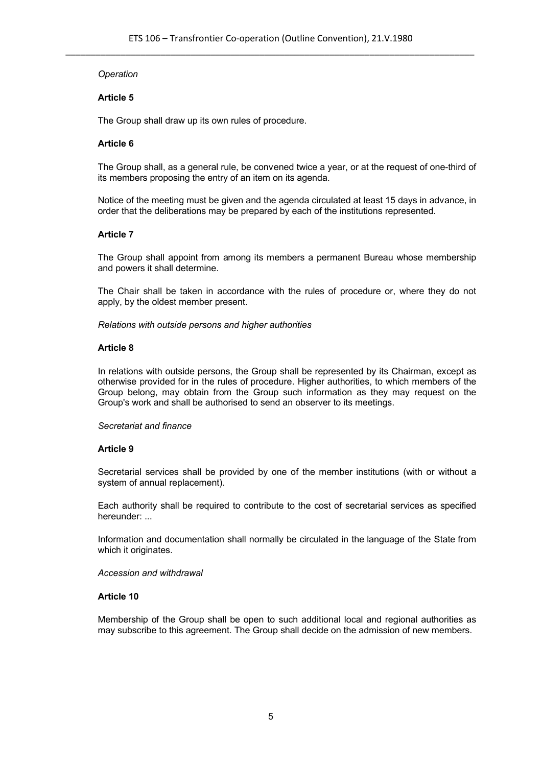# *Operation*

# **Article 5**

The Group shall draw up its own rules of procedure.

# **Article 6**

The Group shall, as a general rule, be convened twice a year, or at the request of one-third of its members proposing the entry of an item on its agenda.

Notice of the meeting must be given and the agenda circulated at least 15 days in advance, in order that the deliberations may be prepared by each of the institutions represented.

# **Article 7**

The Group shall appoint from among its members a permanent Bureau whose membership and powers it shall determine.

The Chair shall be taken in accordance with the rules of procedure or, where they do not apply, by the oldest member present.

*Relations with outside persons and higher authorities*

# **Article 8**

In relations with outside persons, the Group shall be represented by its Chairman, except as otherwise provided for in the rules of procedure. Higher authorities, to which members of the Group belong, may obtain from the Group such information as they may request on the Group's work and shall be authorised to send an observer to its meetings.

# *Secretariat and finance*

# **Article 9**

Secretarial services shall be provided by one of the member institutions (with or without a system of annual replacement).

Each authority shall be required to contribute to the cost of secretarial services as specified hereunder: ...

Information and documentation shall normally be circulated in the language of the State from which it originates.

# *Accession and withdrawal*

# **Article 10**

Membership of the Group shall be open to such additional local and regional authorities as may subscribe to this agreement. The Group shall decide on the admission of new members.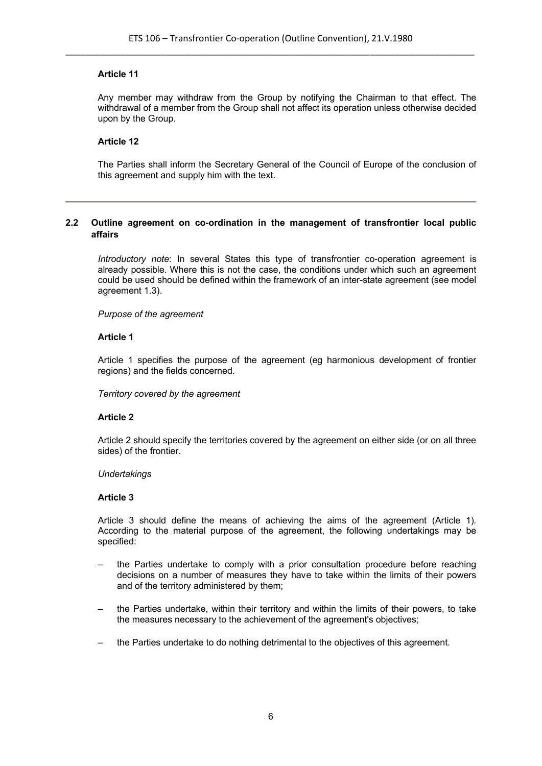Any member may withdraw from the Group by notifying the Chairman to that effect. The withdrawal of a member from the Group shall not affect its operation unless otherwise decided upon by the Group.

# **Article 12**

The Parties shall inform the Secretary General of the Council of Europe of the conclusion of this agreement and supply him with the text.

# **2.2 Outline agreement on co-ordination in the management of transfrontier local public affairs**

*Introductory note*: In several States this type of transfrontier co-operation agreement is already possible. Where this is not the case, the conditions under which such an agreement could be used should be defined within the framework of an inter-state agreement (see model agreement 1.3).

*Purpose of the agreement*

#### **Article 1**

Article 1 specifies the purpose of the agreement (eg harmonious development of frontier regions) and the fields concerned.

*Territory covered by the agreement*

# **Article 2**

Article 2 should specify the territories covered by the agreement on either side (or on all three sides) of the frontier.

#### *Undertakings*

#### **Article 3**

Article 3 should define the means of achieving the aims of the agreement (Article 1). According to the material purpose of the agreement, the following undertakings may be specified:

- the Parties undertake to comply with a prior consultation procedure before reaching decisions on a number of measures they have to take within the limits of their powers and of the territory administered by them;
- the Parties undertake, within their territory and within the limits of their powers, to take the measures necessary to the achievement of the agreement's objectives;
- the Parties undertake to do nothing detrimental to the objectives of this agreement.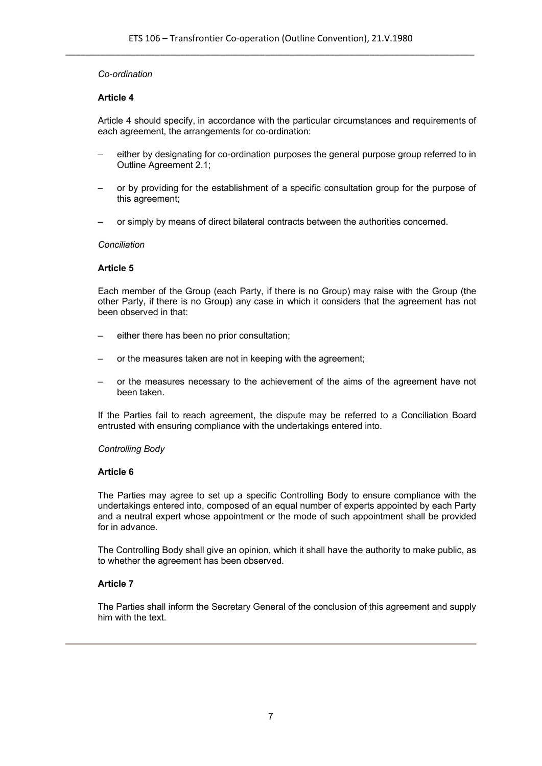#### *Co-ordination*

#### **Article 4**

Article 4 should specify, in accordance with the particular circumstances and requirements of each agreement, the arrangements for co-ordination:

- either by designating for co-ordination purposes the general purpose group referred to in Outline Agreement 2.1;
- or by providing for the establishment of a specific consultation group for the purpose of this agreement;
- or simply by means of direct bilateral contracts between the authorities concerned.

#### *Conciliation*

#### **Article 5**

Each member of the Group (each Party, if there is no Group) may raise with the Group (the other Party, if there is no Group) any case in which it considers that the agreement has not been observed in that:

- either there has been no prior consultation;
- or the measures taken are not in keeping with the agreement;
- or the measures necessary to the achievement of the aims of the agreement have not been taken.

If the Parties fail to reach agreement, the dispute may be referred to a Conciliation Board entrusted with ensuring compliance with the undertakings entered into.

#### *Controlling Body*

#### **Article 6**

The Parties may agree to set up a specific Controlling Body to ensure compliance with the undertakings entered into, composed of an equal number of experts appointed by each Party and a neutral expert whose appointment or the mode of such appointment shall be provided for in advance.

The Controlling Body shall give an opinion, which it shall have the authority to make public, as to whether the agreement has been observed.

# **Article 7**

The Parties shall inform the Secretary General of the conclusion of this agreement and supply him with the text.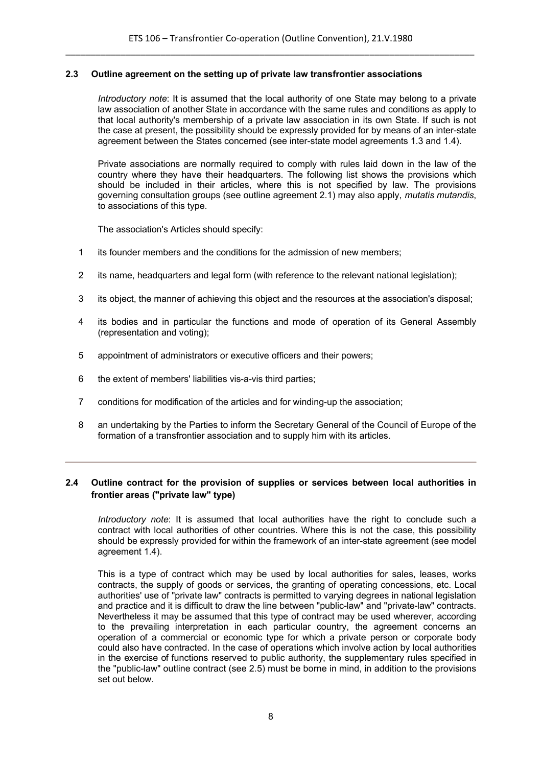#### **2.3 Outline agreement on the setting up of private law transfrontier associations**

*Introductory note*: It is assumed that the local authority of one State may belong to a private law association of another State in accordance with the same rules and conditions as apply to that local authority's membership of a private law association in its own State. If such is not the case at present, the possibility should be expressly provided for by means of an inter-state agreement between the States concerned (see inter-state model agreements 1.3 and 1.4).

Private associations are normally required to comply with rules laid down in the law of the country where they have their headquarters. The following list shows the provisions which should be included in their articles, where this is not specified by law. The provisions governing consultation groups (see outline agreement 2.1) may also apply, *mutatis mutandis*, to associations of this type.

The association's Articles should specify:

- 1 its founder members and the conditions for the admission of new members;
- 2 its name, headquarters and legal form (with reference to the relevant national legislation);
- 3 its object, the manner of achieving this object and the resources at the association's disposal;
- 4 its bodies and in particular the functions and mode of operation of its General Assembly (representation and voting);
- 5 appointment of administrators or executive officers and their powers;
- 6 the extent of members' liabilities vis-a-vis third parties;
- 7 conditions for modification of the articles and for winding-up the association;
- 8 an undertaking by the Parties to inform the Secretary General of the Council of Europe of the formation of a transfrontier association and to supply him with its articles.

# **2.4 Outline contract for the provision of supplies or services between local authorities in frontier areas ("private law" type)**

*Introductory note*: It is assumed that local authorities have the right to conclude such a contract with local authorities of other countries. Where this is not the case, this possibility should be expressly provided for within the framework of an inter-state agreement (see model agreement 1.4).

This is a type of contract which may be used by local authorities for sales, leases, works contracts, the supply of goods or services, the granting of operating concessions, etc. Local authorities' use of "private law" contracts is permitted to varying degrees in national legislation and practice and it is difficult to draw the line between "public-law" and "private-law" contracts. Nevertheless it may be assumed that this type of contract may be used wherever, according to the prevailing interpretation in each particular country, the agreement concerns an operation of a commercial or economic type for which a private person or corporate body could also have contracted. In the case of operations which involve action by local authorities in the exercise of functions reserved to public authority, the supplementary rules specified in the "public-law" outline contract (see 2.5) must be borne in mind, in addition to the provisions set out below.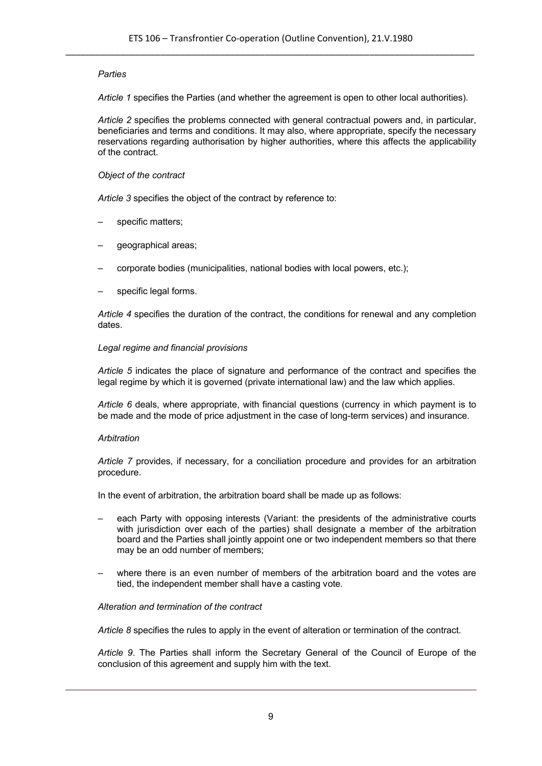# *Parties*

*Article 1* specifies the Parties (and whether the agreement is open to other local authorities).

*Article 2* specifies the problems connected with general contractual powers and, in particular, beneficiaries and terms and conditions. It may also, where appropriate, specify the necessary reservations regarding authorisation by higher authorities, where this affects the applicability of the contract.

#### *Object of the contract*

*Article 3* specifies the object of the contract by reference to:

- specific matters;
- geographical areas;
- corporate bodies (municipalities, national bodies with local powers, etc.);
- specific legal forms.

*Article 4* specifies the duration of the contract, the conditions for renewal and any completion dates.

#### *Legal regime and financial provisions*

*Article 5* indicates the place of signature and performance of the contract and specifies the legal regime by which it is governed (private international law) and the law which applies.

*Article 6* deals, where appropriate, with financial questions (currency in which payment is to be made and the mode of price adjustment in the case of long-term services) and insurance.

#### *Arbitration*

*Article 7* provides, if necessary, for a conciliation procedure and provides for an arbitration procedure.

In the event of arbitration, the arbitration board shall be made up as follows:

- each Party with opposing interests (Variant: the presidents of the administrative courts with jurisdiction over each of the parties) shall designate a member of the arbitration board and the Parties shall jointly appoint one or two independent members so that there may be an odd number of members;
- where there is an even number of members of the arbitration board and the votes are tied, the independent member shall have a casting vote.

#### *Alteration and termination of the contract*

*Article 8* specifies the rules to apply in the event of alteration or termination of the contract.

*Article 9*. The Parties shall inform the Secretary General of the Council of Europe of the conclusion of this agreement and supply him with the text.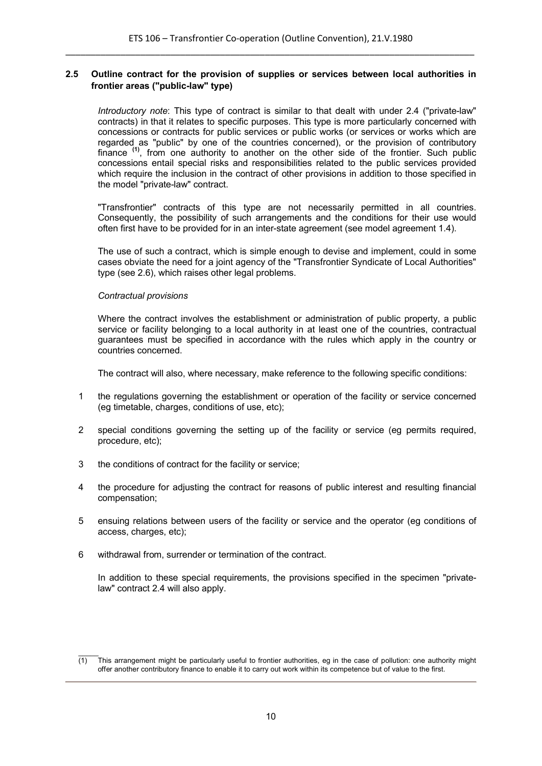# **2.5 Outline contract for the provision of supplies or services between local authorities in frontier areas ("public-law" type)**

*Introductory note*: This type of contract is similar to that dealt with under 2.4 ("private-law" contracts) in that it relates to specific purposes. This type is more particularly concerned with concessions or contracts for public services or public works (or services or works which are regarded as "public" by one of the countries concerned), or the provision of contributory finance <sup>(1)</sup>, from one authority to another on the other side of the frontier. Such public concessions entail special risks and responsibilities related to the public services provided which require the inclusion in the contract of other provisions in addition to those specified in the model "private-law" contract.

"Transfrontier" contracts of this type are not necessarily permitted in all countries. Consequently, the possibility of such arrangements and the conditions for their use would often first have to be provided for in an inter-state agreement (see model agreement 1.4).

The use of such a contract, which is simple enough to devise and implement, could in some cases obviate the need for a joint agency of the "Transfrontier Syndicate of Local Authorities" type (see 2.6), which raises other legal problems.

#### *Contractual provisions*

Where the contract involves the establishment or administration of public property, a public service or facility belonging to a local authority in at least one of the countries, contractual guarantees must be specified in accordance with the rules which apply in the country or countries concerned.

The contract will also, where necessary, make reference to the following specific conditions:

- 1 the regulations governing the establishment or operation of the facility or service concerned (eg timetable, charges, conditions of use, etc);
- 2 special conditions governing the setting up of the facility or service (eg permits required, procedure, etc);
- 3 the conditions of contract for the facility or service;
- 4 the procedure for adjusting the contract for reasons of public interest and resulting financial compensation;
- 5 ensuing relations between users of the facility or service and the operator (eg conditions of access, charges, etc);
- 6 withdrawal from, surrender or termination of the contract.

In addition to these special requirements, the provisions specified in the specimen "privatelaw" contract 2.4 will also apply.

 $\mathcal{L}$  $(1)$  This arrangement might be particularly useful to frontier authorities, eg in the case of pollution: one authority might offer another contributory finance to enable it to carry out work within its competence but of value to the first.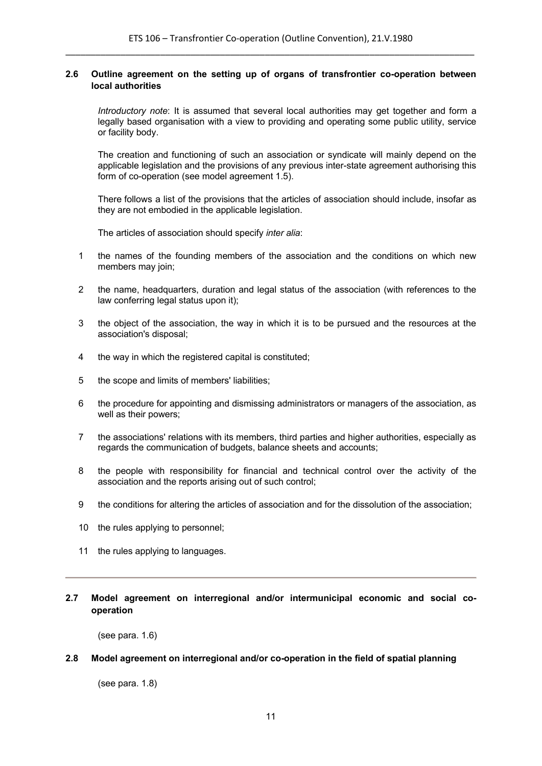# **2.6 Outline agreement on the setting up of organs of transfrontier co-operation between local authorities**

*Introductory note*: It is assumed that several local authorities may get together and form a legally based organisation with a view to providing and operating some public utility, service or facility body.

The creation and functioning of such an association or syndicate will mainly depend on the applicable legislation and the provisions of any previous inter-state agreement authorising this form of co-operation (see model agreement 1.5).

There follows a list of the provisions that the articles of association should include, insofar as they are not embodied in the applicable legislation.

The articles of association should specify *inter alia*:

- 1 the names of the founding members of the association and the conditions on which new members may join;
- 2 the name, headquarters, duration and legal status of the association (with references to the law conferring legal status upon it);
- 3 the object of the association, the way in which it is to be pursued and the resources at the association's disposal;
- 4 the way in which the registered capital is constituted;
- 5 the scope and limits of members' liabilities;
- 6 the procedure for appointing and dismissing administrators or managers of the association, as well as their powers;
- 7 the associations' relations with its members, third parties and higher authorities, especially as regards the communication of budgets, balance sheets and accounts;
- 8 the people with responsibility for financial and technical control over the activity of the association and the reports arising out of such control;
- 9 the conditions for altering the articles of association and for the dissolution of the association;
- 10 the rules applying to personnel;
- 11 the rules applying to languages.

# **2.7 Model agreement on interregional and/or intermunicipal economic and social cooperation**

(see para. 1.6)

# **2.8 Model agreement on interregional and/or co-operation in the field of spatial planning**

(see para. 1.8)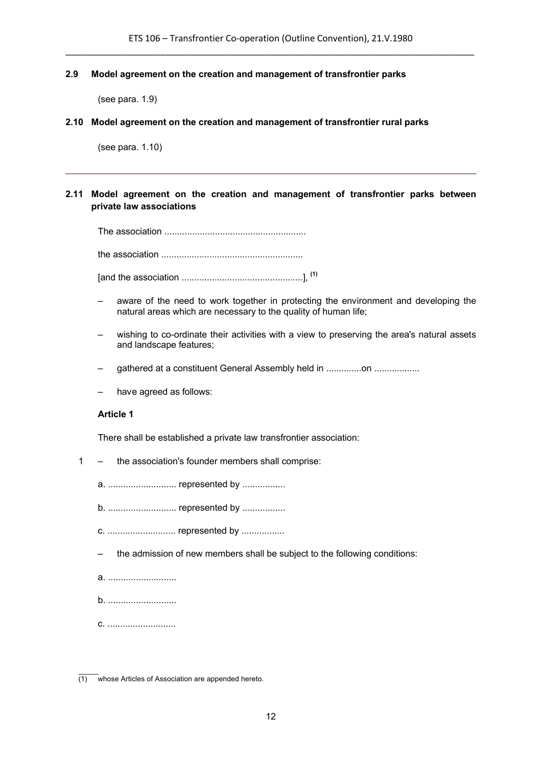#### **2.9 Model agreement on the creation and management of transfrontier parks**

(see para. 1.9)

#### **2.10 Model agreement on the creation and management of transfrontier rural parks**

(see para. 1.10)

# **2.11 Model agreement on the creation and management of transfrontier parks between private law associations**

The association ........................................................

the association ........................................................

[and the association ................................................], **(1)**

- aware of the need to work together in protecting the environment and developing the natural areas which are necessary to the quality of human life;
- wishing to co-ordinate their activities with a view to preserving the area's natural assets and landscape features;
- gathered at a constituent General Assembly held in ..............on ..................
- have agreed as follows:

#### **Article 1**

There shall be established a private law transfrontier association:

1 – the association's founder members shall comprise:

a. ........................... represented by .................

b. ........................... represented by .................

c. ........................... represented by .................

– the admission of new members shall be subject to the following conditions:

a. ...........................

b. ...........................

c. ...........................

 $\mathcal{L}$ (1) whose Articles of Association are appended hereto.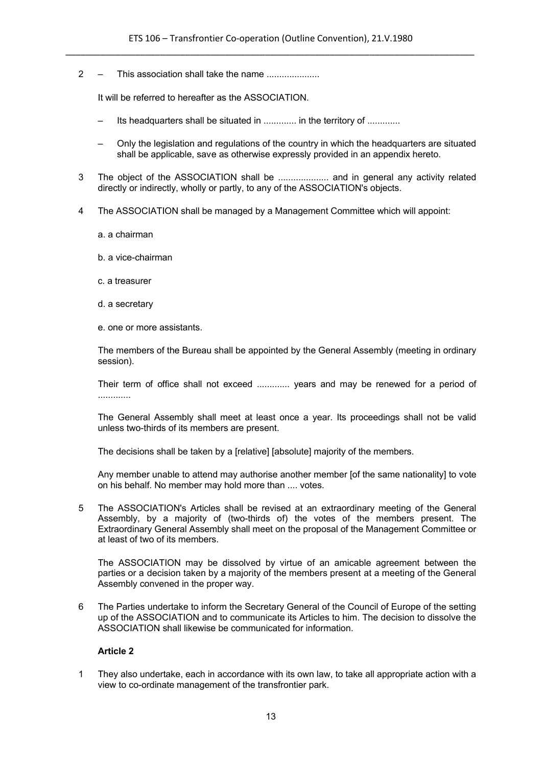2 – This association shall take the name ....................

It will be referred to hereafter as the ASSOCIATION.

- Its headquarters shall be situated in .............. in the territory of .............
- Only the legislation and regulations of the country in which the headquarters are situated shall be applicable, save as otherwise expressly provided in an appendix hereto.
- 3 The object of the ASSOCIATION shall be .................... and in general any activity related directly or indirectly, wholly or partly, to any of the ASSOCIATION's objects.
- 4 The ASSOCIATION shall be managed by a Management Committee which will appoint:
	- a. a chairman
	- b. a vice-chairman
	- c. a treasurer
	- d. a secretary
	- e. one or more assistants.

The members of the Bureau shall be appointed by the General Assembly (meeting in ordinary session).

Their term of office shall not exceed ............. years and may be renewed for a period of .............

The General Assembly shall meet at least once a year. Its proceedings shall not be valid unless two-thirds of its members are present.

The decisions shall be taken by a [relative] [absolute] majority of the members.

Any member unable to attend may authorise another member [of the same nationality] to vote on his behalf. No member may hold more than .... votes.

5 The ASSOCIATION's Articles shall be revised at an extraordinary meeting of the General Assembly, by a majority of (two-thirds of) the votes of the members present. The Extraordinary General Assembly shall meet on the proposal of the Management Committee or at least of two of its members.

The ASSOCIATION may be dissolved by virtue of an amicable agreement between the parties or a decision taken by a majority of the members present at a meeting of the General Assembly convened in the proper way.

6 The Parties undertake to inform the Secretary General of the Council of Europe of the setting up of the ASSOCIATION and to communicate its Articles to him. The decision to dissolve the ASSOCIATION shall likewise be communicated for information.

# **Article 2**

1 They also undertake, each in accordance with its own law, to take all appropriate action with a view to co-ordinate management of the transfrontier park.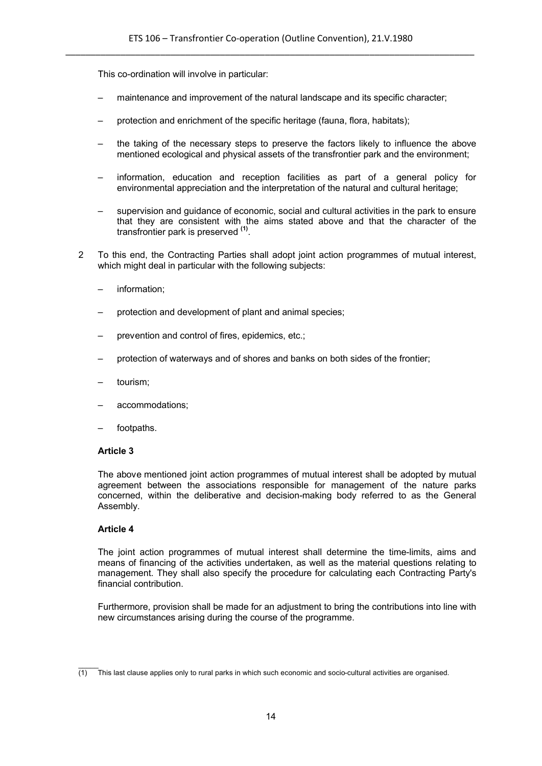This co-ordination will involve in particular:

- maintenance and improvement of the natural landscape and its specific character;
- protection and enrichment of the specific heritage (fauna, flora, habitats);
- the taking of the necessary steps to preserve the factors likely to influence the above mentioned ecological and physical assets of the transfrontier park and the environment;
- information, education and reception facilities as part of a general policy for environmental appreciation and the interpretation of the natural and cultural heritage;
- supervision and guidance of economic, social and cultural activities in the park to ensure that they are consistent with the aims stated above and that the character of the transfrontier park is preserved **(1)** .
- 2 To this end, the Contracting Parties shall adopt joint action programmes of mutual interest, which might deal in particular with the following subjects:
	- information:
	- protection and development of plant and animal species;
	- prevention and control of fires, epidemics, etc.;
	- protection of waterways and of shores and banks on both sides of the frontier;
	- tourism;
	- accommodations;
	- footpaths.

#### **Article 3**

The above mentioned joint action programmes of mutual interest shall be adopted by mutual agreement between the associations responsible for management of the nature parks concerned, within the deliberative and decision-making body referred to as the General Assembly.

#### **Article 4**

The joint action programmes of mutual interest shall determine the time-limits, aims and means of financing of the activities undertaken, as well as the material questions relating to management. They shall also specify the procedure for calculating each Contracting Party's financial contribution.

Furthermore, provision shall be made for an adjustment to bring the contributions into line with new circumstances arising during the course of the programme.

 $\mathcal{L}$ (1) This last clause applies only to rural parks in which such economic and socio-cultural activities are organised.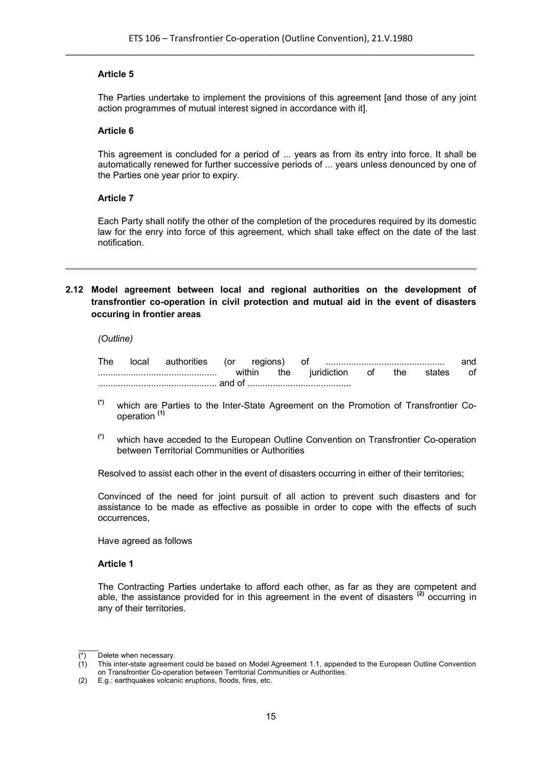The Parties undertake to implement the provisions of this agreement [and those of any joint action programmes of mutual interest signed in accordance with it].

#### **Article 6**

This agreement is concluded for a period of ... years as from its entry into force. It shall be automatically renewed for further successive periods of ... years unless denounced by one of the Parties one year prior to expiry.

#### **Article 7**

Each Party shall notify the other of the completion of the procedures required by its domestic law for the enry into force of this agreement, which shall take effect on the date of the last notification.

# **2.12 Model agreement between local and regional authorities on the development of transfrontier co-operation in civil protection and mutual aid in the event of disasters occuring in frontier areas**

#### *(Outline)*

| The | local    | authorities |  | (or regions) |     | Οt          |    |     |        | and |
|-----|----------|-------------|--|--------------|-----|-------------|----|-----|--------|-----|
|     |          |             |  | within       | the | juridiction | 0t | the | states | οf  |
|     | . and of |             |  |              |     |             |    |     |        |     |

- **(\*)** which are Parties to the Inter-State Agreement on the Promotion of Transfrontier Cooperation **(1)**
- **(\*)** which have acceded to the European Outline Convention on Transfrontier Co-operation between Territorial Communities or Authorities

Resolved to assist each other in the event of disasters occurring in either of their territories;

Convinced of the need for joint pursuit of all action to prevent such disasters and for assistance to be made as effective as possible in order to cope with the effects of such occurrences,

Have agreed as follows

#### **Article 1**

The Contracting Parties undertake to afford each other, as far as they are competent and able, the assistance provided for in this agreement in the event of disasters<sup>(2)</sup> occurring in any of their territories.

 $\mathcal{L}$ 

<sup>(\*)</sup> Delete when necessary.

 $(1)$  This inter-state agreement could be based on Model Agreement 1.1, appended to the European Outline Convention on Transfrontier Co-operation between Territorial Communities or Authorities.

<sup>(2)</sup> E.g.: earthquakes volcanic eruptions, floods, fires, etc.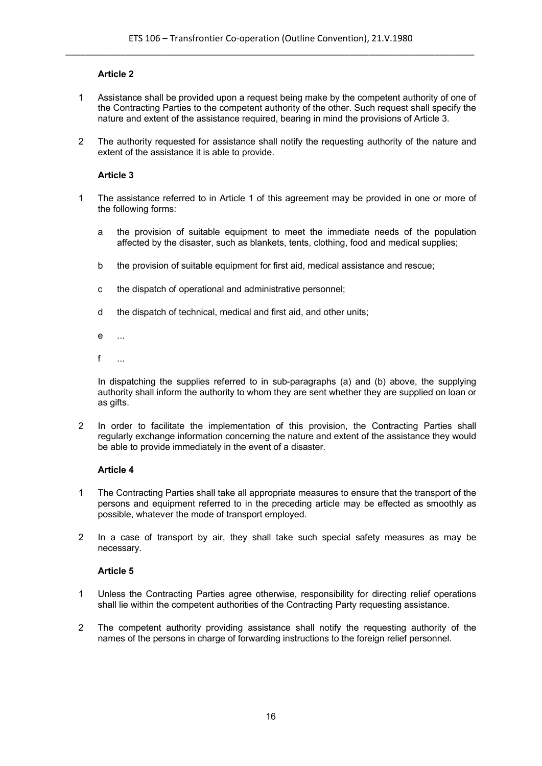- 1 Assistance shall be provided upon a request being make by the competent authority of one of the Contracting Parties to the competent authority of the other. Such request shall specify the nature and extent of the assistance required, bearing in mind the provisions of Article 3.
- 2 The authority requested for assistance shall notify the requesting authority of the nature and extent of the assistance it is able to provide.

# **Article 3**

- 1 The assistance referred to in Article 1 of this agreement may be provided in one or more of the following forms:
	- a the provision of suitable equipment to meet the immediate needs of the population affected by the disaster, such as blankets, tents, clothing, food and medical supplies;
	- b the provision of suitable equipment for first aid, medical assistance and rescue;
	- c the dispatch of operational and administrative personnel;
	- d the dispatch of technical, medical and first aid, and other units;
	- e ...
	- f  $\overline{a}$

In dispatching the supplies referred to in sub-paragraphs (a) and (b) above, the supplying authority shall inform the authority to whom they are sent whether they are supplied on loan or as gifts.

2 In order to facilitate the implementation of this provision, the Contracting Parties shall regularly exchange information concerning the nature and extent of the assistance they would be able to provide immediately in the event of a disaster.

# **Article 4**

- 1 The Contracting Parties shall take all appropriate measures to ensure that the transport of the persons and equipment referred to in the preceding article may be effected as smoothly as possible, whatever the mode of transport employed.
- 2 In a case of transport by air, they shall take such special safety measures as may be necessary.

#### **Article 5**

- 1 Unless the Contracting Parties agree otherwise, responsibility for directing relief operations shall lie within the competent authorities of the Contracting Party requesting assistance.
- 2 The competent authority providing assistance shall notify the requesting authority of the names of the persons in charge of forwarding instructions to the foreign relief personnel.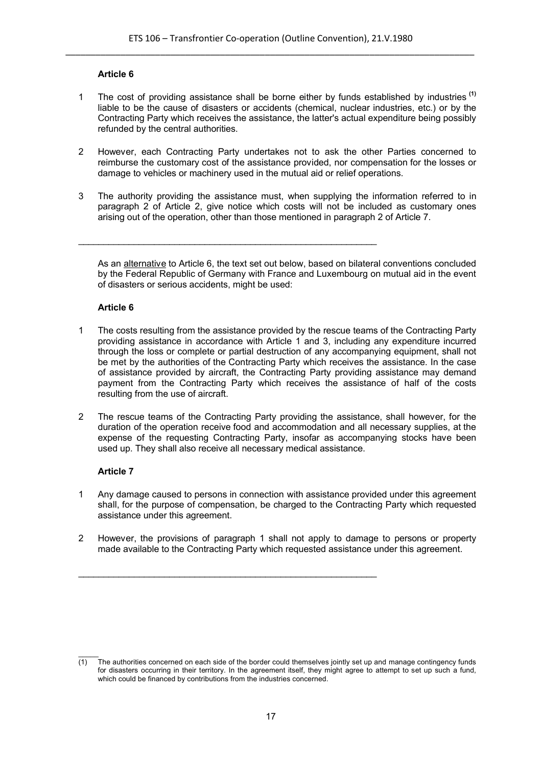- 1 The cost of providing assistance shall be borne either by funds established by industries **(1)** liable to be the cause of disasters or accidents (chemical, nuclear industries, etc.) or by the Contracting Party which receives the assistance, the latter's actual expenditure being possibly refunded by the central authorities.
- 2 However, each Contracting Party undertakes not to ask the other Parties concerned to reimburse the customary cost of the assistance provided, nor compensation for the losses or damage to vehicles or machinery used in the mutual aid or relief operations.
- 3 The authority providing the assistance must, when supplying the information referred to in paragraph 2 of Article 2, give notice which costs will not be included as customary ones arising out of the operation, other than those mentioned in paragraph 2 of Article 7.

\_\_\_\_\_\_\_\_\_\_\_\_\_\_\_\_\_\_\_\_\_\_\_\_\_\_\_\_\_\_\_\_\_\_\_\_\_\_\_\_\_\_\_\_\_\_\_\_\_\_\_\_\_\_\_\_\_\_\_

As an alternative to Article 6, the text set out below, based on bilateral conventions concluded by the Federal Republic of Germany with France and Luxembourg on mutual aid in the event of disasters or serious accidents, might be used:

#### **Article 6**

- 1 The costs resulting from the assistance provided by the rescue teams of the Contracting Party providing assistance in accordance with Article 1 and 3, including any expenditure incurred through the loss or complete or partial destruction of any accompanying equipment, shall not be met by the authorities of the Contracting Party which receives the assistance. In the case of assistance provided by aircraft, the Contracting Party providing assistance may demand payment from the Contracting Party which receives the assistance of half of the costs resulting from the use of aircraft.
- 2 The rescue teams of the Contracting Party providing the assistance, shall however, for the duration of the operation receive food and accommodation and all necessary supplies, at the expense of the requesting Contracting Party, insofar as accompanying stocks have been used up. They shall also receive all necessary medical assistance.

# **Article 7**

- 1 Any damage caused to persons in connection with assistance provided under this agreement shall, for the purpose of compensation, be charged to the Contracting Party which requested assistance under this agreement.
- 2 However, the provisions of paragraph 1 shall not apply to damage to persons or property made available to the Contracting Party which requested assistance under this agreement.

 $\_$  , and the set of the set of the set of the set of the set of the set of the set of the set of the set of the set of the set of the set of the set of the set of the set of the set of the set of the set of the set of th

 $\mathcal{L}$  $\overline{(1)}$  The authorities concerned on each side of the border could themselves jointly set up and manage contingency funds for disasters occurring in their territory. In the agreement itself, they might agree to attempt to set up such a fund, which could be financed by contributions from the industries concerned.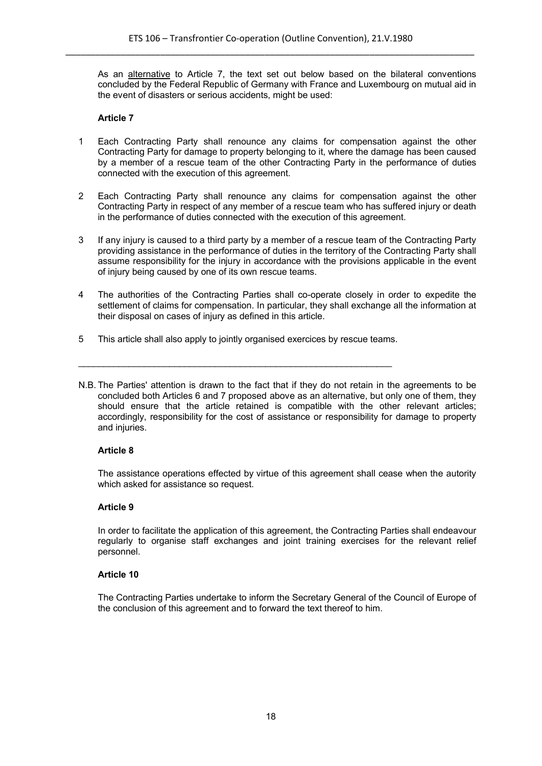As an alternative to Article 7, the text set out below based on the bilateral conventions concluded by the Federal Republic of Germany with France and Luxembourg on mutual aid in the event of disasters or serious accidents, might be used:

# **Article 7**

- 1 Each Contracting Party shall renounce any claims for compensation against the other Contracting Party for damage to property belonging to it, where the damage has been caused by a member of a rescue team of the other Contracting Party in the performance of duties connected with the execution of this agreement.
- 2 Each Contracting Party shall renounce any claims for compensation against the other Contracting Party in respect of any member of a rescue team who has suffered injury or death in the performance of duties connected with the execution of this agreement.
- 3 If any injury is caused to a third party by a member of a rescue team of the Contracting Party providing assistance in the performance of duties in the territory of the Contracting Party shall assume responsibility for the injury in accordance with the provisions applicable in the event of injury being caused by one of its own rescue teams.
- 4 The authorities of the Contracting Parties shall co-operate closely in order to expedite the settlement of claims for compensation. In particular, they shall exchange all the information at their disposal on cases of injury as defined in this article.
- 5 This article shall also apply to jointly organised exercices by rescue teams.

 $\_$  , and the set of the set of the set of the set of the set of the set of the set of the set of the set of the set of the set of the set of the set of the set of the set of the set of the set of the set of the set of th

N.B. The Parties' attention is drawn to the fact that if they do not retain in the agreements to be concluded both Articles 6 and 7 proposed above as an alternative, but only one of them, they should ensure that the article retained is compatible with the other relevant articles; accordingly, responsibility for the cost of assistance or responsibility for damage to property and injuries.

# **Article 8**

The assistance operations effected by virtue of this agreement shall cease when the autority which asked for assistance so request.

# **Article 9**

In order to facilitate the application of this agreement, the Contracting Parties shall endeavour regularly to organise staff exchanges and joint training exercises for the relevant relief personnel.

# **Article 10**

The Contracting Parties undertake to inform the Secretary General of the Council of Europe of the conclusion of this agreement and to forward the text thereof to him.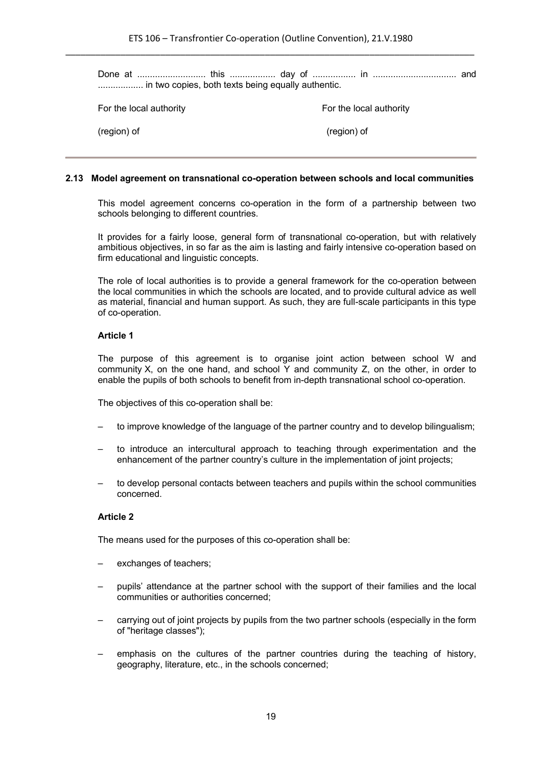Done at ........................... this .................. day of ................. in ................................. and .................. in two copies, both texts being equally authentic.

For the local authority **For the local authority** 

(region) of (region) of

#### **2.13 Model agreement on transnational co-operation between schools and local communities**

This model agreement concerns co-operation in the form of a partnership between two schools belonging to different countries.

It provides for a fairly loose, general form of transnational co-operation, but with relatively ambitious objectives, in so far as the aim is lasting and fairly intensive co-operation based on firm educational and linguistic concepts.

The role of local authorities is to provide a general framework for the co-operation between the local communities in which the schools are located, and to provide cultural advice as well as material, financial and human support. As such, they are full-scale participants in this type of co-operation.

#### **Article 1**

The purpose of this agreement is to organise joint action between school W and community X, on the one hand, and school Y and community Z, on the other, in order to enable the pupils of both schools to benefit from in-depth transnational school co-operation.

The objectives of this co-operation shall be:

- to improve knowledge of the language of the partner country and to develop bilingualism;
- to introduce an intercultural approach to teaching through experimentation and the enhancement of the partner country's culture in the implementation of joint projects;
- to develop personal contacts between teachers and pupils within the school communities concerned.

# **Article 2**

The means used for the purposes of this co-operation shall be:

- exchanges of teachers:
- pupils' attendance at the partner school with the support of their families and the local communities or authorities concerned;
- carrying out of joint projects by pupils from the two partner schools (especially in the form of "heritage classes");
- emphasis on the cultures of the partner countries during the teaching of history, geography, literature, etc., in the schools concerned;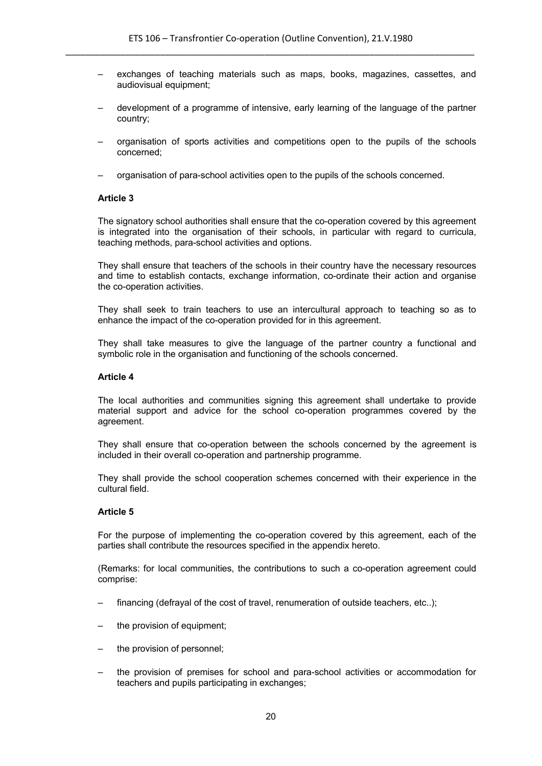- exchanges of teaching materials such as maps, books, magazines, cassettes, and audiovisual equipment;
- development of a programme of intensive, early learning of the language of the partner country;
- organisation of sports activities and competitions open to the pupils of the schools concerned;
- organisation of para-school activities open to the pupils of the schools concerned.

The signatory school authorities shall ensure that the co-operation covered by this agreement is integrated into the organisation of their schools, in particular with regard to curricula, teaching methods, para-school activities and options.

They shall ensure that teachers of the schools in their country have the necessary resources and time to establish contacts, exchange information, co-ordinate their action and organise the co-operation activities.

They shall seek to train teachers to use an intercultural approach to teaching so as to enhance the impact of the co-operation provided for in this agreement.

They shall take measures to give the language of the partner country a functional and symbolic role in the organisation and functioning of the schools concerned.

#### **Article 4**

The local authorities and communities signing this agreement shall undertake to provide material support and advice for the school co-operation programmes covered by the agreement.

They shall ensure that co-operation between the schools concerned by the agreement is included in their overall co-operation and partnership programme.

They shall provide the school cooperation schemes concerned with their experience in the cultural field.

#### **Article 5**

For the purpose of implementing the co-operation covered by this agreement, each of the parties shall contribute the resources specified in the appendix hereto.

(Remarks: for local communities, the contributions to such a co-operation agreement could comprise:

- financing (defrayal of the cost of travel, renumeration of outside teachers, etc..);
- the provision of equipment;
- the provision of personnel;
- the provision of premises for school and para-school activities or accommodation for teachers and pupils participating in exchanges;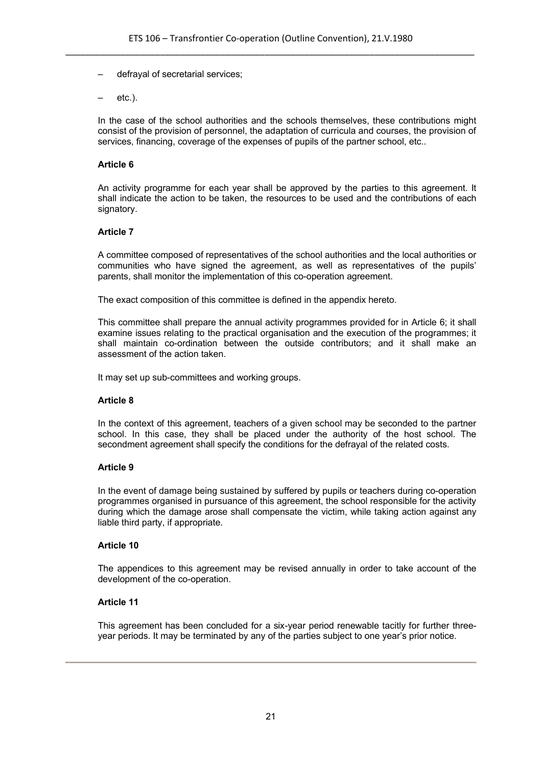- defrayal of secretarial services;
- etc.).

In the case of the school authorities and the schools themselves, these contributions might consist of the provision of personnel, the adaptation of curricula and courses, the provision of services, financing, coverage of the expenses of pupils of the partner school, etc..

#### **Article 6**

An activity programme for each year shall be approved by the parties to this agreement. It shall indicate the action to be taken, the resources to be used and the contributions of each signatory.

#### **Article 7**

A committee composed of representatives of the school authorities and the local authorities or communities who have signed the agreement, as well as representatives of the pupils' parents, shall monitor the implementation of this co-operation agreement.

The exact composition of this committee is defined in the appendix hereto.

This committee shall prepare the annual activity programmes provided for in Article 6; it shall examine issues relating to the practical organisation and the execution of the programmes; it shall maintain co-ordination between the outside contributors; and it shall make an assessment of the action taken.

It may set up sub-committees and working groups.

#### **Article 8**

In the context of this agreement, teachers of a given school may be seconded to the partner school. In this case, they shall be placed under the authority of the host school. The secondment agreement shall specify the conditions for the defrayal of the related costs.

#### **Article 9**

In the event of damage being sustained by suffered by pupils or teachers during co-operation programmes organised in pursuance of this agreement, the school responsible for the activity during which the damage arose shall compensate the victim, while taking action against any liable third party, if appropriate.

# **Article 10**

The appendices to this agreement may be revised annually in order to take account of the development of the co-operation.

# **Article 11**

This agreement has been concluded for a six-year period renewable tacitly for further threeyear periods. It may be terminated by any of the parties subject to one year's prior notice.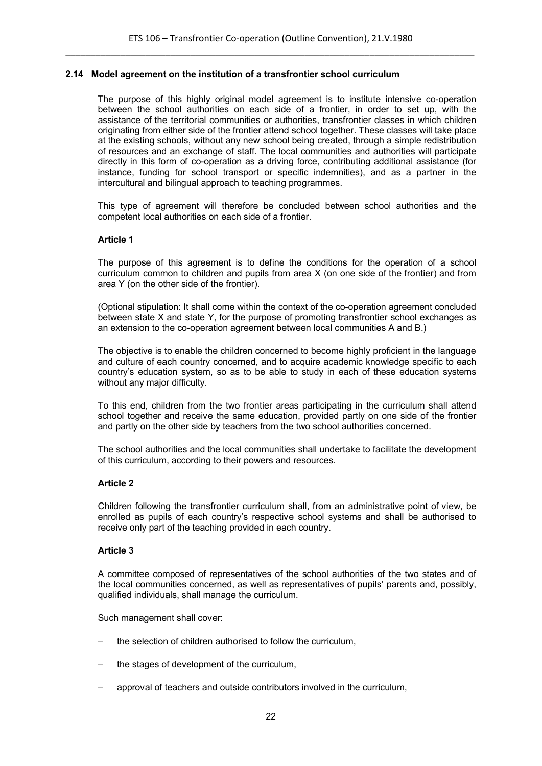#### **2.14 Model agreement on the institution of a transfrontier school curriculum**

The purpose of this highly original model agreement is to institute intensive co-operation between the school authorities on each side of a frontier, in order to set up, with the assistance of the territorial communities or authorities, transfrontier classes in which children originating from either side of the frontier attend school together. These classes will take place at the existing schools, without any new school being created, through a simple redistribution of resources and an exchange of staff. The local communities and authorities will participate directly in this form of co-operation as a driving force, contributing additional assistance (for instance, funding for school transport or specific indemnities), and as a partner in the intercultural and bilingual approach to teaching programmes.

This type of agreement will therefore be concluded between school authorities and the competent local authorities on each side of a frontier.

#### **Article 1**

The purpose of this agreement is to define the conditions for the operation of a school curriculum common to children and pupils from area X (on one side of the frontier) and from area Y (on the other side of the frontier).

(Optional stipulation: It shall come within the context of the co-operation agreement concluded between state X and state Y, for the purpose of promoting transfrontier school exchanges as an extension to the co-operation agreement between local communities A and B.)

The objective is to enable the children concerned to become highly proficient in the language and culture of each country concerned, and to acquire academic knowledge specific to each country's education system, so as to be able to study in each of these education systems without any major difficulty.

To this end, children from the two frontier areas participating in the curriculum shall attend school together and receive the same education, provided partly on one side of the frontier and partly on the other side by teachers from the two school authorities concerned.

The school authorities and the local communities shall undertake to facilitate the development of this curriculum, according to their powers and resources.

#### **Article 2**

Children following the transfrontier curriculum shall, from an administrative point of view, be enrolled as pupils of each country's respective school systems and shall be authorised to receive only part of the teaching provided in each country.

#### **Article 3**

A committee composed of representatives of the school authorities of the two states and of the local communities concerned, as well as representatives of pupils' parents and, possibly, qualified individuals, shall manage the curriculum.

Such management shall cover:

- the selection of children authorised to follow the curriculum,
- the stages of development of the curriculum,
- approval of teachers and outside contributors involved in the curriculum,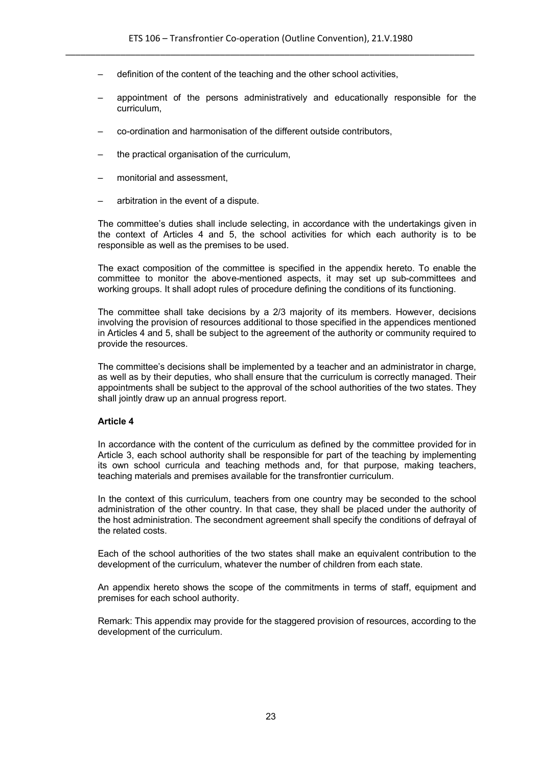- definition of the content of the teaching and the other school activities,
- appointment of the persons administratively and educationally responsible for the curriculum,
- co-ordination and harmonisation of the different outside contributors,
- the practical organisation of the curriculum,
- monitorial and assessment,
- arbitration in the event of a dispute.

The committee's duties shall include selecting, in accordance with the undertakings given in the context of Articles 4 and 5, the school activities for which each authority is to be responsible as well as the premises to be used.

The exact composition of the committee is specified in the appendix hereto. To enable the committee to monitor the above-mentioned aspects, it may set up sub-committees and working groups. It shall adopt rules of procedure defining the conditions of its functioning.

The committee shall take decisions by a 2/3 majority of its members. However, decisions involving the provision of resources additional to those specified in the appendices mentioned in Articles 4 and 5, shall be subject to the agreement of the authority or community required to provide the resources.

The committee's decisions shall be implemented by a teacher and an administrator in charge, as well as by their deputies, who shall ensure that the curriculum is correctly managed. Their appointments shall be subject to the approval of the school authorities of the two states. They shall jointly draw up an annual progress report.

# **Article 4**

In accordance with the content of the curriculum as defined by the committee provided for in Article 3, each school authority shall be responsible for part of the teaching by implementing its own school curricula and teaching methods and, for that purpose, making teachers, teaching materials and premises available for the transfrontier curriculum.

In the context of this curriculum, teachers from one country may be seconded to the school administration of the other country. In that case, they shall be placed under the authority of the host administration. The secondment agreement shall specify the conditions of defrayal of the related costs.

Each of the school authorities of the two states shall make an equivalent contribution to the development of the curriculum, whatever the number of children from each state.

An appendix hereto shows the scope of the commitments in terms of staff, equipment and premises for each school authority.

Remark: This appendix may provide for the staggered provision of resources, according to the development of the curriculum.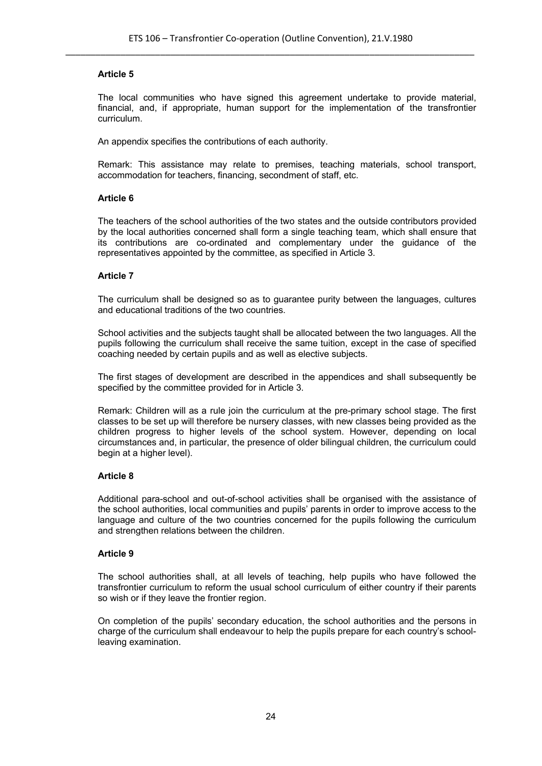The local communities who have signed this agreement undertake to provide material, financial, and, if appropriate, human support for the implementation of the transfrontier curriculum.

An appendix specifies the contributions of each authority.

Remark: This assistance may relate to premises, teaching materials, school transport, accommodation for teachers, financing, secondment of staff, etc.

# **Article 6**

The teachers of the school authorities of the two states and the outside contributors provided by the local authorities concerned shall form a single teaching team, which shall ensure that its contributions are co-ordinated and complementary under the guidance of the representatives appointed by the committee, as specified in Article 3.

#### **Article 7**

The curriculum shall be designed so as to guarantee purity between the languages, cultures and educational traditions of the two countries.

School activities and the subjects taught shall be allocated between the two languages. All the pupils following the curriculum shall receive the same tuition, except in the case of specified coaching needed by certain pupils and as well as elective subjects.

The first stages of development are described in the appendices and shall subsequently be specified by the committee provided for in Article 3.

Remark: Children will as a rule join the curriculum at the pre-primary school stage. The first classes to be set up will therefore be nursery classes, with new classes being provided as the children progress to higher levels of the school system. However, depending on local circumstances and, in particular, the presence of older bilingual children, the curriculum could begin at a higher level).

# **Article 8**

Additional para-school and out-of-school activities shall be organised with the assistance of the school authorities, local communities and pupils' parents in order to improve access to the language and culture of the two countries concerned for the pupils following the curriculum and strengthen relations between the children.

# **Article 9**

The school authorities shall, at all levels of teaching, help pupils who have followed the transfrontier curriculum to reform the usual school curriculum of either country if their parents so wish or if they leave the frontier region.

On completion of the pupils' secondary education, the school authorities and the persons in charge of the curriculum shall endeavour to help the pupils prepare for each country's schoolleaving examination.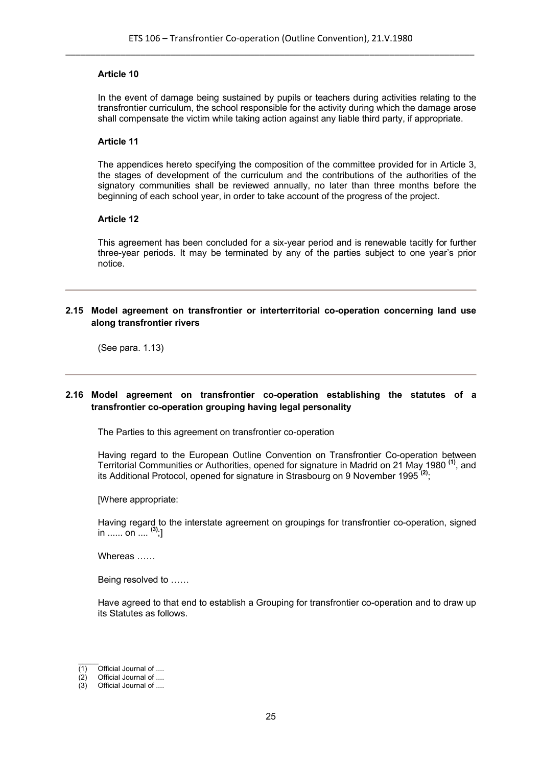In the event of damage being sustained by pupils or teachers during activities relating to the transfrontier curriculum, the school responsible for the activity during which the damage arose shall compensate the victim while taking action against any liable third party, if appropriate.

#### **Article 11**

The appendices hereto specifying the composition of the committee provided for in Article 3, the stages of development of the curriculum and the contributions of the authorities of the signatory communities shall be reviewed annually, no later than three months before the beginning of each school year, in order to take account of the progress of the project.

#### **Article 12**

This agreement has been concluded for a six-year period and is renewable tacitly for further three-year periods. It may be terminated by any of the parties subject to one year's prior notice.

# **2.15 Model agreement on transfrontier or interterritorial co-operation concerning land use along transfrontier rivers**

(See para. 1.13)

# **2.16 Model agreement on transfrontier co-operation establishing the statutes of a transfrontier co-operation grouping having legal personality**

The Parties to this agreement on transfrontier co-operation

Having regard to the European Outline Convention on Transfrontier Co-operation between Territorial Communities or Authorities, opened for signature in Madrid on 21 May 1980 **(1)**, and its Additional Protocol, opened for signature in Strasbourg on 9 November 1995 **(2)** ;

[Where appropriate:

Having regard to the interstate agreement on groupings for transfrontier co-operation, signed in ...... on .... **(3)** ;]

Whereas ……

Being resolved to ……

Have agreed to that end to establish a Grouping for transfrontier co-operation and to draw up its Statutes as follows.

 $\mathcal{L}$ 

 $(1)$  Official Journal of ....

<sup>(2)</sup> Official Journal of ....

 $(3)$  Official Journal of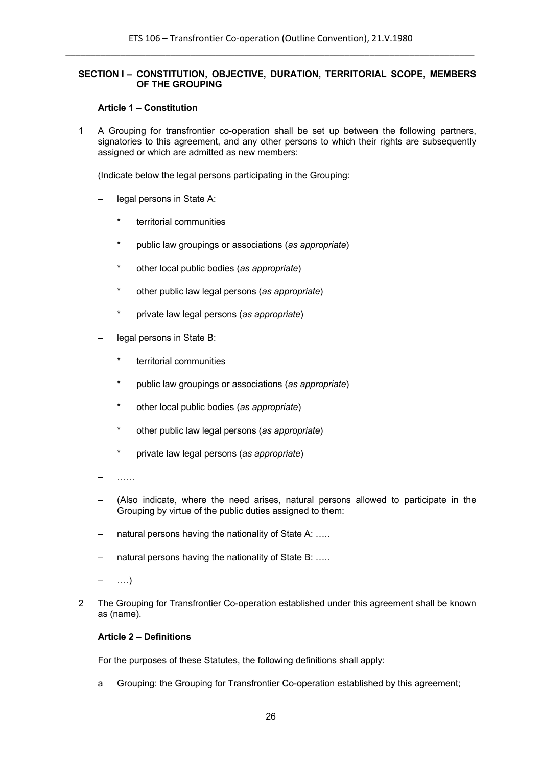# **SECTION I – CONSTITUTION, OBJECTIVE, DURATION, TERRITORIAL SCOPE, MEMBERS OF THE GROUPING**

#### **Article 1 – Constitution**

1 A Grouping for transfrontier co-operation shall be set up between the following partners, signatories to this agreement, and any other persons to which their rights are subsequently assigned or which are admitted as new members:

(Indicate below the legal persons participating in the Grouping:

- legal persons in State A:
	- \* territorial communities
	- \* public law groupings or associations (*as appropriate*)
	- \* other local public bodies (*as appropriate*)
	- \* other public law legal persons (*as appropriate*)
	- \* private law legal persons (*as appropriate*)
- legal persons in State B:
	- \* territorial communities
	- \* public law groupings or associations (*as appropriate*)
	- \* other local public bodies (*as appropriate*)
	- \* other public law legal persons (*as appropriate*)
	- \* private law legal persons (*as appropriate*)
- ……
- (Also indicate, where the need arises, natural persons allowed to participate in the Grouping by virtue of the public duties assigned to them:
- natural persons having the nationality of State A: .....
- natural persons having the nationality of State B: .....
- ….)
- 2 The Grouping for Transfrontier Co-operation established under this agreement shall be known as (name).

#### **Article 2 – Definitions**

For the purposes of these Statutes, the following definitions shall apply:

a Grouping: the Grouping for Transfrontier Co-operation established by this agreement;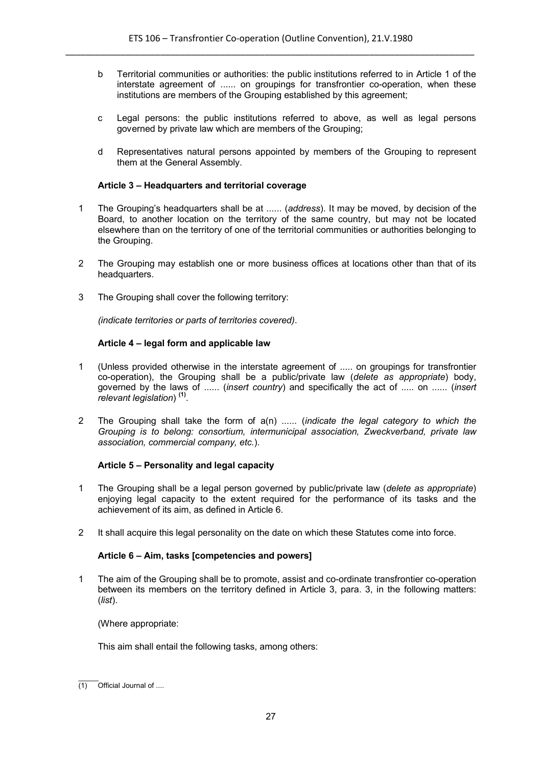- b Territorial communities or authorities: the public institutions referred to in Article 1 of the interstate agreement of ...... on groupings for transfrontier co-operation, when these institutions are members of the Grouping established by this agreement;
- c Legal persons: the public institutions referred to above, as well as legal persons governed by private law which are members of the Grouping;
- d Representatives natural persons appointed by members of the Grouping to represent them at the General Assembly.

# **Article 3 – Headquarters and territorial coverage**

- 1 The Grouping's headquarters shall be at ...... (*address*). It may be moved, by decision of the Board, to another location on the territory of the same country, but may not be located elsewhere than on the territory of one of the territorial communities or authorities belonging to the Grouping.
- 2 The Grouping may establish one or more business offices at locations other than that of its headquarters.
- 3 The Grouping shall cover the following territory:

*(indicate territories or parts of territories covered)*.

# **Article 4 – legal form and applicable law**

- 1 (Unless provided otherwise in the interstate agreement of ..... on groupings for transfrontier co-operation), the Grouping shall be a public/private law (*delete as appropriate*) body, governed by the laws of ...... (*insert country*) and specifically the act of ..... on ...... (*insert relevant legislation*) **(1)** .
- 2 The Grouping shall take the form of a(n) ...... (*indicate the legal category to which the Grouping is to belong: consortium, intermunicipal association, Zweckverband, private law association, commercial company, etc.*).

# **Article 5 – Personality and legal capacity**

- 1 The Grouping shall be a legal person governed by public/private law (*delete as appropriate*) enjoying legal capacity to the extent required for the performance of its tasks and the achievement of its aim, as defined in Article 6.
- 2 It shall acquire this legal personality on the date on which these Statutes come into force.

# **Article 6 – Aim, tasks [competencies and powers]**

1 The aim of the Grouping shall be to promote, assist and co-ordinate transfrontier co-operation between its members on the territory defined in Article 3, para. 3, in the following matters: (*list*).

(Where appropriate:

This aim shall entail the following tasks, among others:

 $\mathcal{L}$ (1) Official Journal of ....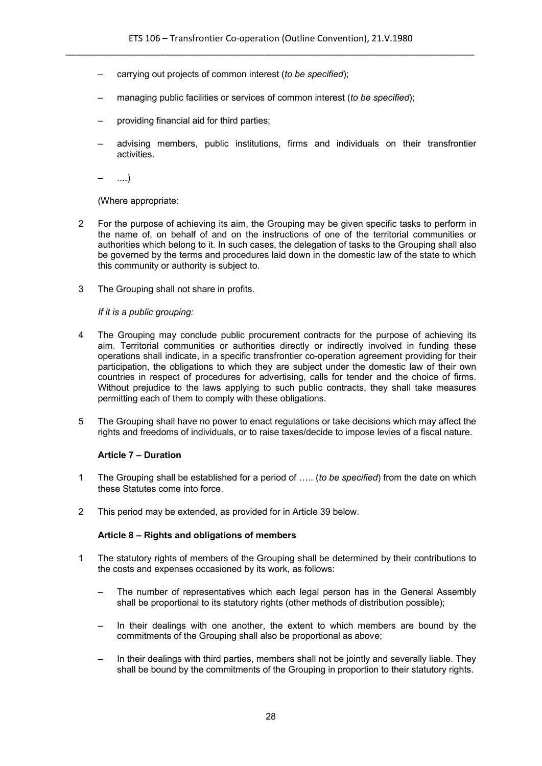- carrying out projects of common interest (*to be specified*);
- managing public facilities or services of common interest (*to be specified*);
- providing financial aid for third parties;
- advising members, public institutions, firms and individuals on their transfrontier activities.

– ....)

(Where appropriate:

- 2 For the purpose of achieving its aim, the Grouping may be given specific tasks to perform in the name of, on behalf of and on the instructions of one of the territorial communities or authorities which belong to it. In such cases, the delegation of tasks to the Grouping shall also be governed by the terms and procedures laid down in the domestic law of the state to which this community or authority is subject to.
- 3 The Grouping shall not share in profits.

*If it is a public grouping:*

- 4 The Grouping may conclude public procurement contracts for the purpose of achieving its aim. Territorial communities or authorities directly or indirectly involved in funding these operations shall indicate, in a specific transfrontier co-operation agreement providing for their participation, the obligations to which they are subject under the domestic law of their own countries in respect of procedures for advertising, calls for tender and the choice of firms. Without prejudice to the laws applying to such public contracts, they shall take measures permitting each of them to comply with these obligations.
- 5 The Grouping shall have no power to enact regulations or take decisions which may affect the rights and freedoms of individuals, or to raise taxes/decide to impose levies of a fiscal nature.

# **Article 7 – Duration**

- 1 The Grouping shall be established for a period of ….. (*to be specified*) from the date on which these Statutes come into force.
- 2 This period may be extended, as provided for in Article 39 below.

# **Article 8 – Rights and obligations of members**

- 1 The statutory rights of members of the Grouping shall be determined by their contributions to the costs and expenses occasioned by its work, as follows:
	- The number of representatives which each legal person has in the General Assembly shall be proportional to its statutory rights (other methods of distribution possible);
	- In their dealings with one another, the extent to which members are bound by the commitments of the Grouping shall also be proportional as above;
	- In their dealings with third parties, members shall not be jointly and severally liable. They shall be bound by the commitments of the Grouping in proportion to their statutory rights.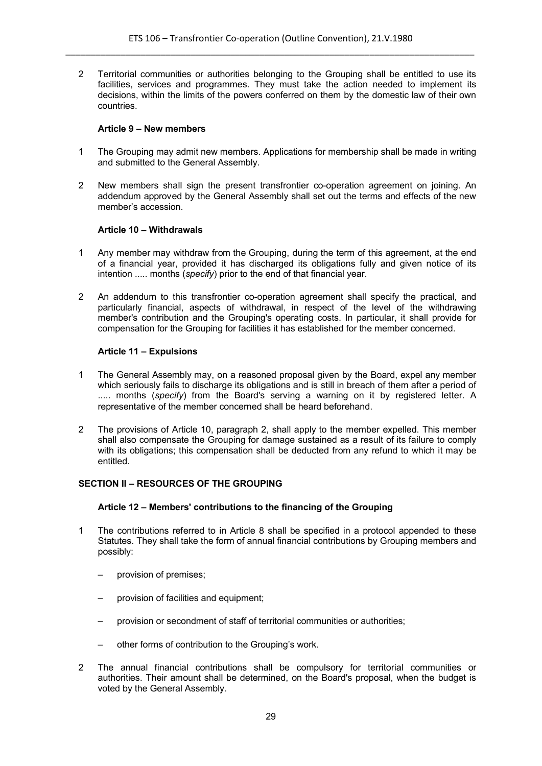2 Territorial communities or authorities belonging to the Grouping shall be entitled to use its facilities, services and programmes. They must take the action needed to implement its decisions, within the limits of the powers conferred on them by the domestic law of their own countries.

#### **Article 9 – New members**

- 1 The Grouping may admit new members. Applications for membership shall be made in writing and submitted to the General Assembly.
- 2 New members shall sign the present transfrontier co-operation agreement on joining. An addendum approved by the General Assembly shall set out the terms and effects of the new member's accession.

# **Article 10 – Withdrawals**

- 1 Any member may withdraw from the Grouping, during the term of this agreement, at the end of a financial year, provided it has discharged its obligations fully and given notice of its intention ..... months (*specify*) prior to the end of that financial year.
- 2 An addendum to this transfrontier co-operation agreement shall specify the practical, and particularly financial, aspects of withdrawal, in respect of the level of the withdrawing member's contribution and the Grouping's operating costs. In particular, it shall provide for compensation for the Grouping for facilities it has established for the member concerned.

# **Article 11 – Expulsions**

- 1 The General Assembly may, on a reasoned proposal given by the Board, expel any member which seriously fails to discharge its obligations and is still in breach of them after a period of ..... months (*specify*) from the Board's serving a warning on it by registered letter. A representative of the member concerned shall be heard beforehand.
- 2 The provisions of Article 10, paragraph 2, shall apply to the member expelled. This member shall also compensate the Grouping for damage sustained as a result of its failure to comply with its obligations; this compensation shall be deducted from any refund to which it may be entitled.

# **SECTION II – RESOURCES OF THE GROUPING**

# **Article 12 – Members' contributions to the financing of the Grouping**

- 1 The contributions referred to in Article 8 shall be specified in a protocol appended to these Statutes. They shall take the form of annual financial contributions by Grouping members and possibly:
	- provision of premises;
	- provision of facilities and equipment;
	- provision or secondment of staff of territorial communities or authorities;
	- other forms of contribution to the Grouping's work.
- 2 The annual financial contributions shall be compulsory for territorial communities or authorities. Their amount shall be determined, on the Board's proposal, when the budget is voted by the General Assembly.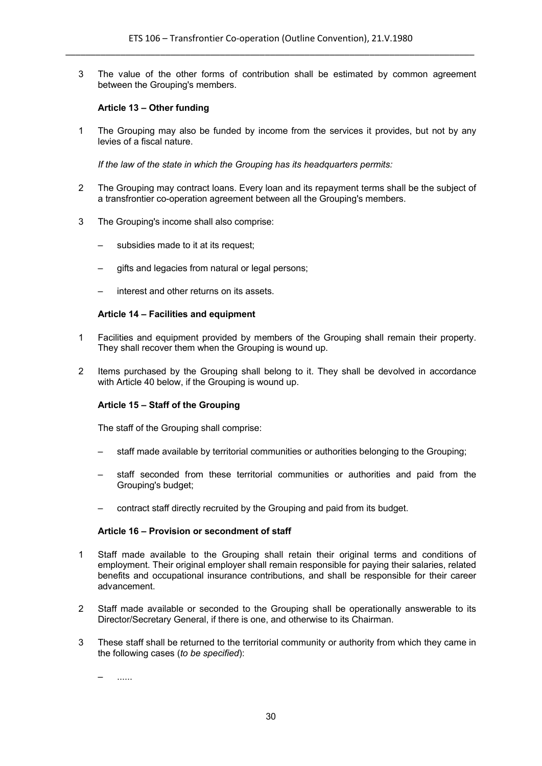3 The value of the other forms of contribution shall be estimated by common agreement between the Grouping's members.

# **Article 13 – Other funding**

1 The Grouping may also be funded by income from the services it provides, but not by any levies of a fiscal nature.

*If the law of the state in which the Grouping has its headquarters permits:*

- 2 The Grouping may contract loans. Every loan and its repayment terms shall be the subject of a transfrontier co-operation agreement between all the Grouping's members.
- 3 The Grouping's income shall also comprise:
	- subsidies made to it at its request;
	- gifts and legacies from natural or legal persons;
	- interest and other returns on its assets.

#### **Article 14 – Facilities and equipment**

- 1 Facilities and equipment provided by members of the Grouping shall remain their property. They shall recover them when the Grouping is wound up.
- 2 Items purchased by the Grouping shall belong to it. They shall be devolved in accordance with Article 40 below, if the Grouping is wound up.

# **Article 15 – Staff of the Grouping**

The staff of the Grouping shall comprise:

- staff made available by territorial communities or authorities belonging to the Grouping;
- staff seconded from these territorial communities or authorities and paid from the Grouping's budget;
- contract staff directly recruited by the Grouping and paid from its budget.

# **Article 16 – Provision or secondment of staff**

- 1 Staff made available to the Grouping shall retain their original terms and conditions of employment. Their original employer shall remain responsible for paying their salaries, related benefits and occupational insurance contributions, and shall be responsible for their career advancement.
- 2 Staff made available or seconded to the Grouping shall be operationally answerable to its Director/Secretary General, if there is one, and otherwise to its Chairman.
- 3 These staff shall be returned to the territorial community or authority from which they came in the following cases (*to be specified*):

– ......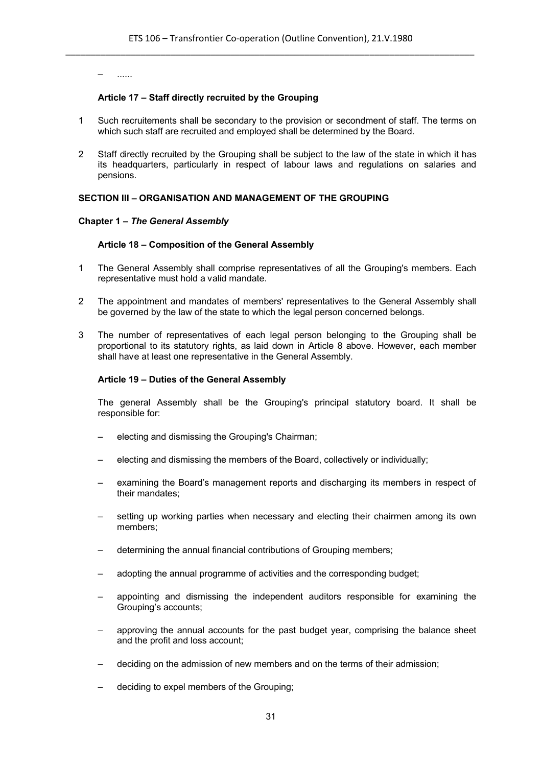– ......

#### **Article 17 – Staff directly recruited by the Grouping**

- 1 Such recruitements shall be secondary to the provision or secondment of staff. The terms on which such staff are recruited and employed shall be determined by the Board.
- 2 Staff directly recruited by the Grouping shall be subject to the law of the state in which it has its headquarters, particularly in respect of labour laws and regulations on salaries and pensions.

# **SECTION III – ORGANISATION AND MANAGEMENT OF THE GROUPING**

#### **Chapter 1 –** *The General Assembly*

#### **Article 18 – Composition of the General Assembly**

- 1 The General Assembly shall comprise representatives of all the Grouping's members. Each representative must hold a valid mandate.
- 2 The appointment and mandates of members' representatives to the General Assembly shall be governed by the law of the state to which the legal person concerned belongs.
- 3 The number of representatives of each legal person belonging to the Grouping shall be proportional to its statutory rights, as laid down in Article 8 above. However, each member shall have at least one representative in the General Assembly.

#### **Article 19 – Duties of the General Assembly**

The general Assembly shall be the Grouping's principal statutory board. It shall be responsible for:

- electing and dismissing the Grouping's Chairman;
- electing and dismissing the members of the Board, collectively or individually;
- examining the Board's management reports and discharging its members in respect of their mandates;
- setting up working parties when necessary and electing their chairmen among its own members;
- determining the annual financial contributions of Grouping members;
- adopting the annual programme of activities and the corresponding budget;
- appointing and dismissing the independent auditors responsible for examining the Grouping's accounts;
- approving the annual accounts for the past budget year, comprising the balance sheet and the profit and loss account;
- deciding on the admission of new members and on the terms of their admission;
- deciding to expel members of the Grouping;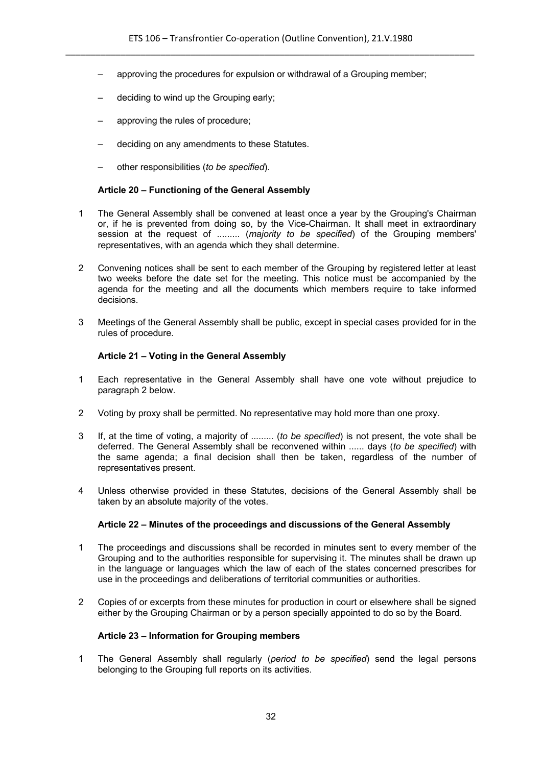- approving the procedures for expulsion or withdrawal of a Grouping member;
- deciding to wind up the Grouping early;
- approving the rules of procedure;
- deciding on any amendments to these Statutes.
- other responsibilities (*to be specified*).

# **Article 20 – Functioning of the General Assembly**

- 1 The General Assembly shall be convened at least once a year by the Grouping's Chairman or, if he is prevented from doing so, by the Vice-Chairman. It shall meet in extraordinary session at the request of ......... (*majority to be specified*) of the Grouping members' representatives, with an agenda which they shall determine.
- 2 Convening notices shall be sent to each member of the Grouping by registered letter at least two weeks before the date set for the meeting. This notice must be accompanied by the agenda for the meeting and all the documents which members require to take informed decisions.
- 3 Meetings of the General Assembly shall be public, except in special cases provided for in the rules of procedure.

# **Article 21 – Voting in the General Assembly**

- 1 Each representative in the General Assembly shall have one vote without prejudice to paragraph 2 below.
- 2 Voting by proxy shall be permitted. No representative may hold more than one proxy.
- 3 If, at the time of voting, a majority of ......... (*to be specified*) is not present, the vote shall be deferred. The General Assembly shall be reconvened within ...... days (*to be specified*) with the same agenda; a final decision shall then be taken, regardless of the number of representatives present.
- 4 Unless otherwise provided in these Statutes, decisions of the General Assembly shall be taken by an absolute majority of the votes.

# **Article 22 – Minutes of the proceedings and discussions of the General Assembly**

- 1 The proceedings and discussions shall be recorded in minutes sent to every member of the Grouping and to the authorities responsible for supervising it. The minutes shall be drawn up in the language or languages which the law of each of the states concerned prescribes for use in the proceedings and deliberations of territorial communities or authorities.
- 2 Copies of or excerpts from these minutes for production in court or elsewhere shall be signed either by the Grouping Chairman or by a person specially appointed to do so by the Board.

# **Article 23 – Information for Grouping members**

1 The General Assembly shall regularly (*period to be specified*) send the legal persons belonging to the Grouping full reports on its activities.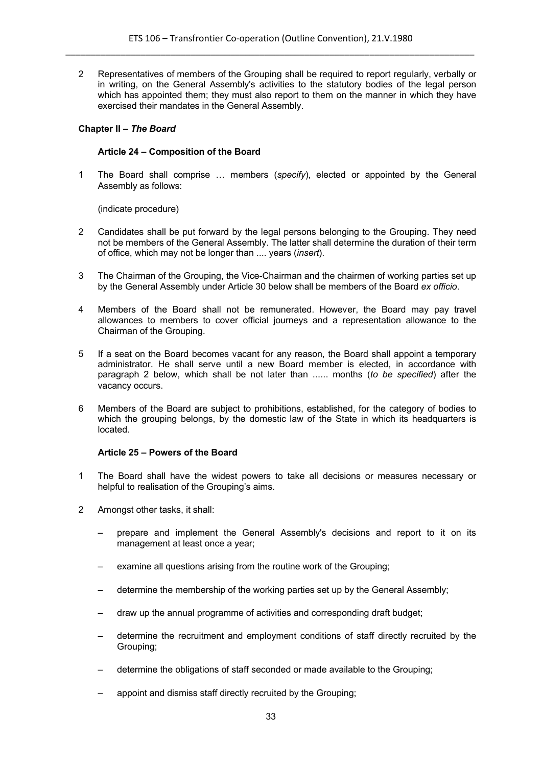2 Representatives of members of the Grouping shall be required to report regularly, verbally or in writing, on the General Assembly's activities to the statutory bodies of the legal person which has appointed them; they must also report to them on the manner in which they have exercised their mandates in the General Assembly.

#### **Chapter II –** *The Board*

#### **Article 24 – Composition of the Board**

1 The Board shall comprise … members (*specify*), elected or appointed by the General Assembly as follows:

(indicate procedure)

- 2 Candidates shall be put forward by the legal persons belonging to the Grouping. They need not be members of the General Assembly. The latter shall determine the duration of their term of office, which may not be longer than .... years (*insert*).
- 3 The Chairman of the Grouping, the Vice-Chairman and the chairmen of working parties set up by the General Assembly under Article 30 below shall be members of the Board *ex officio*.
- 4 Members of the Board shall not be remunerated. However, the Board may pay travel allowances to members to cover official journeys and a representation allowance to the Chairman of the Grouping.
- 5 If a seat on the Board becomes vacant for any reason, the Board shall appoint a temporary administrator. He shall serve until a new Board member is elected, in accordance with paragraph 2 below, which shall be not later than ...... months (*to be specified*) after the vacancy occurs.
- 6 Members of the Board are subject to prohibitions, established, for the category of bodies to which the grouping belongs, by the domestic law of the State in which its headquarters is located.

#### **Article 25 – Powers of the Board**

- 1 The Board shall have the widest powers to take all decisions or measures necessary or helpful to realisation of the Grouping's aims.
- 2 Amongst other tasks, it shall:
	- prepare and implement the General Assembly's decisions and report to it on its management at least once a year;
	- examine all questions arising from the routine work of the Grouping;
	- determine the membership of the working parties set up by the General Assembly;
	- draw up the annual programme of activities and corresponding draft budget;
	- determine the recruitment and employment conditions of staff directly recruited by the Grouping;
	- determine the obligations of staff seconded or made available to the Grouping;
	- appoint and dismiss staff directly recruited by the Grouping;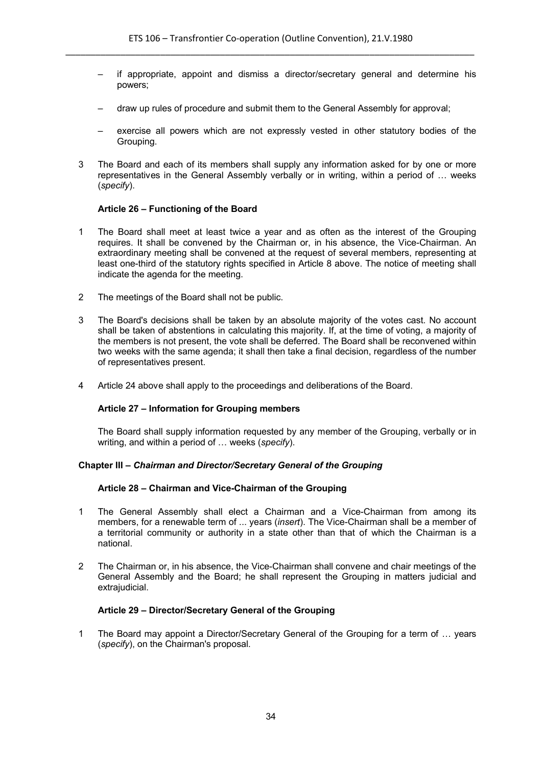- if appropriate, appoint and dismiss a director/secretary general and determine his powers;
- draw up rules of procedure and submit them to the General Assembly for approval;
- exercise all powers which are not expressly vested in other statutory bodies of the Grouping.
- 3 The Board and each of its members shall supply any information asked for by one or more representatives in the General Assembly verbally or in writing, within a period of … weeks (*specify*).

#### **Article 26 – Functioning of the Board**

- 1 The Board shall meet at least twice a year and as often as the interest of the Grouping requires. It shall be convened by the Chairman or, in his absence, the Vice-Chairman. An extraordinary meeting shall be convened at the request of several members, representing at least one-third of the statutory rights specified in Article 8 above. The notice of meeting shall indicate the agenda for the meeting.
- 2 The meetings of the Board shall not be public.
- 3 The Board's decisions shall be taken by an absolute majority of the votes cast. No account shall be taken of abstentions in calculating this majority. If, at the time of voting, a majority of the members is not present, the vote shall be deferred. The Board shall be reconvened within two weeks with the same agenda; it shall then take a final decision, regardless of the number of representatives present.
- 4 Article 24 above shall apply to the proceedings and deliberations of the Board.

#### **Article 27 – Information for Grouping members**

The Board shall supply information requested by any member of the Grouping, verbally or in writing, and within a period of … weeks (*specify*).

# **Chapter III –** *Chairman and Director/Secretary General of the Grouping*

#### **Article 28 – Chairman and Vice-Chairman of the Grouping**

- 1 The General Assembly shall elect a Chairman and a Vice-Chairman from among its members, for a renewable term of ... years (*insert*). The Vice-Chairman shall be a member of a territorial community or authority in a state other than that of which the Chairman is a national.
- 2 The Chairman or, in his absence, the Vice-Chairman shall convene and chair meetings of the General Assembly and the Board; he shall represent the Grouping in matters judicial and extraiudicial.

#### **Article 29 – Director/Secretary General of the Grouping**

1 The Board may appoint a Director/Secretary General of the Grouping for a term of … years (*specify*), on the Chairman's proposal.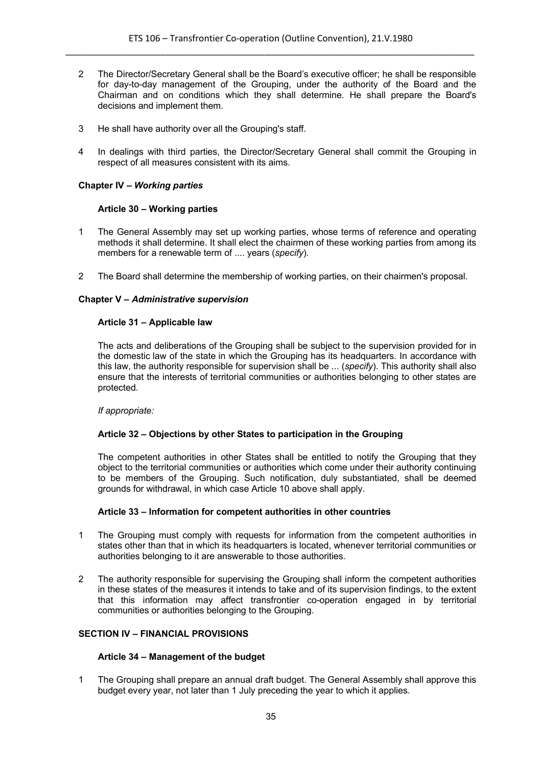- 2 The Director/Secretary General shall be the Board's executive officer; he shall be responsible for day-to-day management of the Grouping, under the authority of the Board and the Chairman and on conditions which they shall determine. He shall prepare the Board's decisions and implement them.
- 3 He shall have authority over all the Grouping's staff.
- 4 In dealings with third parties, the Director/Secretary General shall commit the Grouping in respect of all measures consistent with its aims.

# **Chapter IV –** *Working parties*

# **Article 30 – Working parties**

- 1 The General Assembly may set up working parties, whose terms of reference and operating methods it shall determine. It shall elect the chairmen of these working parties from among its members for a renewable term of .... years (*specify*).
- 2 The Board shall determine the membership of working parties, on their chairmen's proposal.

# **Chapter V –** *Administrative supervision*

# **Article 31 – Applicable law**

The acts and deliberations of the Grouping shall be subject to the supervision provided for in the domestic law of the state in which the Grouping has its headquarters. In accordance with this law, the authority responsible for supervision shall be ... (*specify*). This authority shall also ensure that the interests of territorial communities or authorities belonging to other states are protected.

# *If appropriate:*

# **Article 32 – Objections by other States to participation in the Grouping**

The competent authorities in other States shall be entitled to notify the Grouping that they object to the territorial communities or authorities which come under their authority continuing to be members of the Grouping. Such notification, duly substantiated, shall be deemed grounds for withdrawal, in which case Article 10 above shall apply.

# **Article 33 – Information for competent authorities in other countries**

- 1 The Grouping must comply with requests for information from the competent authorities in states other than that in which its headquarters is located, whenever territorial communities or authorities belonging to it are answerable to those authorities.
- 2 The authority responsible for supervising the Grouping shall inform the competent authorities in these states of the measures it intends to take and of its supervision findings, to the extent that this information may affect transfrontier co-operation engaged in by territorial communities or authorities belonging to the Grouping.

# **SECTION IV – FINANCIAL PROVISIONS**

# **Article 34 – Management of the budget**

1 The Grouping shall prepare an annual draft budget. The General Assembly shall approve this budget every year, not later than 1 July preceding the year to which it applies.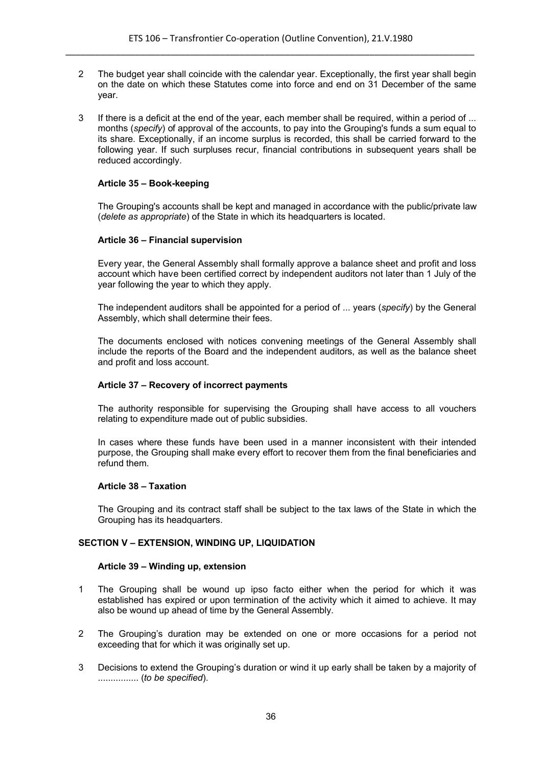- 2 The budget year shall coincide with the calendar year. Exceptionally, the first year shall begin on the date on which these Statutes come into force and end on 31 December of the same year.
- 3 If there is a deficit at the end of the year, each member shall be required, within a period of ... months (*specify*) of approval of the accounts, to pay into the Grouping's funds a sum equal to its share. Exceptionally, if an income surplus is recorded, this shall be carried forward to the following year. If such surpluses recur, financial contributions in subsequent years shall be reduced accordingly.

# **Article 35 – Book-keeping**

The Grouping's accounts shall be kept and managed in accordance with the public/private law (*delete as appropriate*) of the State in which its headquarters is located.

# **Article 36 – Financial supervision**

Every year, the General Assembly shall formally approve a balance sheet and profit and loss account which have been certified correct by independent auditors not later than 1 July of the year following the year to which they apply.

The independent auditors shall be appointed for a period of ... years (*specify*) by the General Assembly, which shall determine their fees.

The documents enclosed with notices convening meetings of the General Assembly shall include the reports of the Board and the independent auditors, as well as the balance sheet and profit and loss account.

# **Article 37 – Recovery of incorrect payments**

The authority responsible for supervising the Grouping shall have access to all vouchers relating to expenditure made out of public subsidies.

In cases where these funds have been used in a manner inconsistent with their intended purpose, the Grouping shall make every effort to recover them from the final beneficiaries and refund them.

# **Article 38 – Taxation**

The Grouping and its contract staff shall be subject to the tax laws of the State in which the Grouping has its headquarters.

# **SECTION V – EXTENSION, WINDING UP, LIQUIDATION**

# **Article 39 – Winding up, extension**

- 1 The Grouping shall be wound up ipso facto either when the period for which it was established has expired or upon termination of the activity which it aimed to achieve. It may also be wound up ahead of time by the General Assembly.
- 2 The Grouping's duration may be extended on one or more occasions for a period not exceeding that for which it was originally set up.
- 3 Decisions to extend the Grouping's duration or wind it up early shall be taken by a majority of ................ (*to be specified*).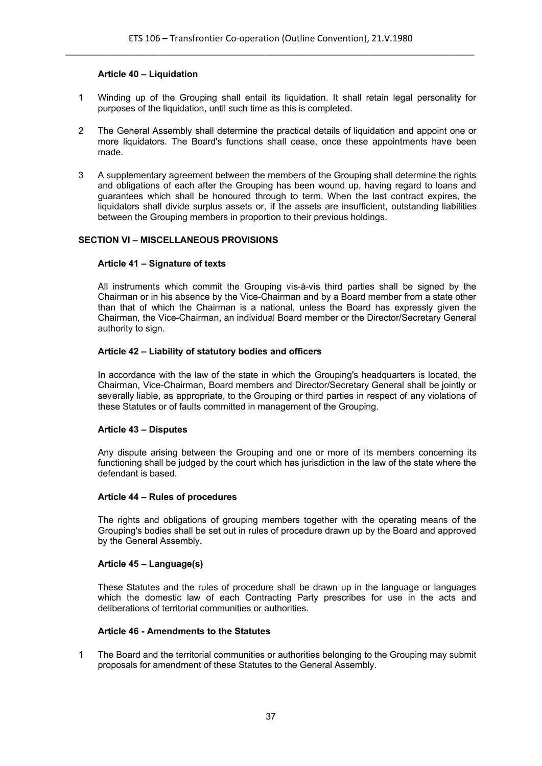# **Article 40 – Liquidation**

- 1 Winding up of the Grouping shall entail its liquidation. It shall retain legal personality for purposes of the liquidation, until such time as this is completed.
- 2 The General Assembly shall determine the practical details of liquidation and appoint one or more liquidators. The Board's functions shall cease, once these appointments have been made.
- 3 A supplementary agreement between the members of the Grouping shall determine the rights and obligations of each after the Grouping has been wound up, having regard to loans and guarantees which shall be honoured through to term. When the last contract expires, the liquidators shall divide surplus assets or, if the assets are insufficient, outstanding liabilities between the Grouping members in proportion to their previous holdings.

# **SECTION VI – MISCELLANEOUS PROVISIONS**

# **Article 41 – Signature of texts**

All instruments which commit the Grouping vis-à-vis third parties shall be signed by the Chairman or in his absence by the Vice-Chairman and by a Board member from a state other than that of which the Chairman is a national, unless the Board has expressly given the Chairman, the Vice-Chairman, an individual Board member or the Director/Secretary General authority to sign.

# **Article 42 – Liability of statutory bodies and officers**

In accordance with the law of the state in which the Grouping's headquarters is located, the Chairman, Vice-Chairman, Board members and Director/Secretary General shall be jointly or severally liable, as appropriate, to the Grouping or third parties in respect of any violations of these Statutes or of faults committed in management of the Grouping.

# **Article 43 – Disputes**

Any dispute arising between the Grouping and one or more of its members concerning its functioning shall be judged by the court which has jurisdiction in the law of the state where the defendant is based.

# **Article 44 – Rules of procedures**

The rights and obligations of grouping members together with the operating means of the Grouping's bodies shall be set out in rules of procedure drawn up by the Board and approved by the General Assembly.

# **Article 45 – Language(s)**

These Statutes and the rules of procedure shall be drawn up in the language or languages which the domestic law of each Contracting Party prescribes for use in the acts and deliberations of territorial communities or authorities.

# **Article 46 - Amendments to the Statutes**

1 The Board and the territorial communities or authorities belonging to the Grouping may submit proposals for amendment of these Statutes to the General Assembly.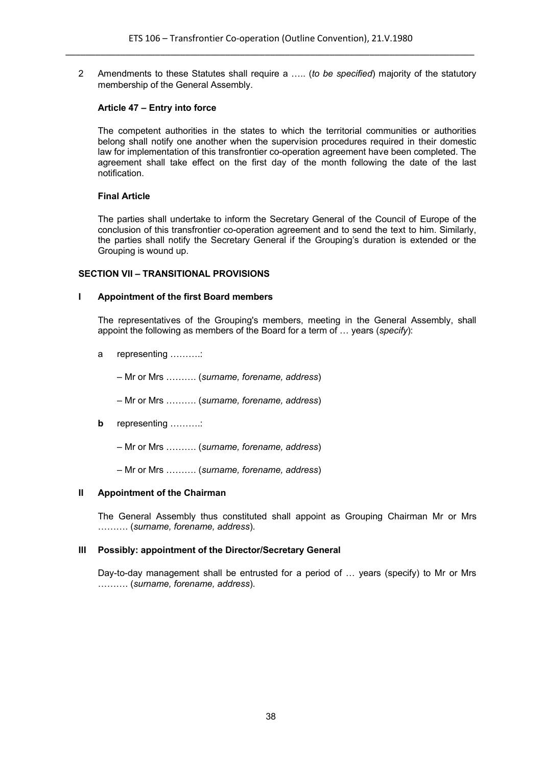2 Amendments to these Statutes shall require a ….. (*to be specified*) majority of the statutory membership of the General Assembly.

# **Article 47 – Entry into force**

The competent authorities in the states to which the territorial communities or authorities belong shall notify one another when the supervision procedures required in their domestic law for implementation of this transfrontier co-operation agreement have been completed. The agreement shall take effect on the first day of the month following the date of the last notification.

# **Final Article**

The parties shall undertake to inform the Secretary General of the Council of Europe of the conclusion of this transfrontier co-operation agreement and to send the text to him. Similarly, the parties shall notify the Secretary General if the Grouping's duration is extended or the Grouping is wound up.

# **SECTION VII – TRANSITIONAL PROVISIONS**

# **I Appointment of the first Board members**

The representatives of the Grouping's members, meeting in the General Assembly, shall appoint the following as members of the Board for a term of … years (*specify*):

a representing ……….:

– Mr or Mrs ………. (*surname, forename, address*)

– Mr or Mrs ………. (*surname, forename, address*)

**b** representing …………

– Mr or Mrs ………. (*surname, forename, address*)

– Mr or Mrs ………. (*surname, forename, address*)

# **II Appointment of the Chairman**

The General Assembly thus constituted shall appoint as Grouping Chairman Mr or Mrs ………. (*surname, forename, address*).

# **III Possibly: appointment of the Director/Secretary General**

Day-to-day management shall be entrusted for a period of … years (specify) to Mr or Mrs ………. (*surname, forename, address*).